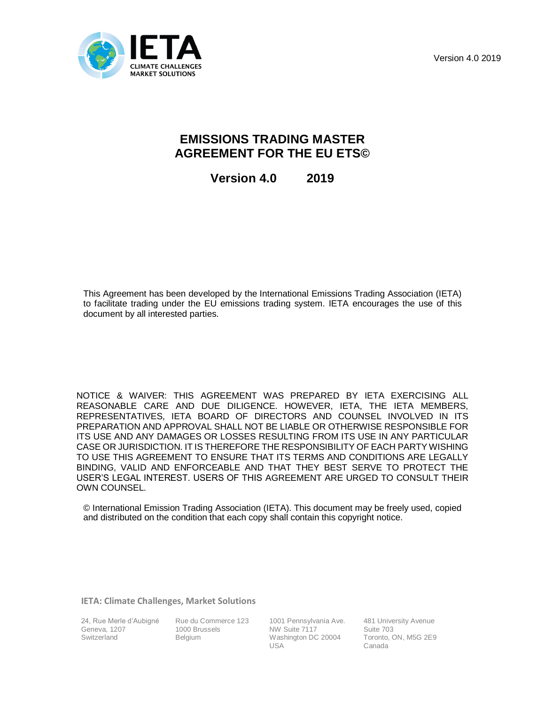

# **EMISSIONS TRADING MASTER AGREEMENT FOR THE EU ETS©**

**Version 4.0 2019**

This Agreement has been developed by the International Emissions Trading Association (IETA) to facilitate trading under the EU emissions trading system. IETA encourages the use of this document by all interested parties.

NOTICE & WAIVER: THIS AGREEMENT WAS PREPARED BY IETA EXERCISING ALL REASONABLE CARE AND DUE DILIGENCE. HOWEVER, IETA, THE IETA MEMBERS, REPRESENTATIVES, IETA BOARD OF DIRECTORS AND COUNSEL INVOLVED IN ITS PREPARATION AND APPROVAL SHALL NOT BE LIABLE OR OTHERWISE RESPONSIBLE FOR ITS USE AND ANY DAMAGES OR LOSSES RESULTING FROM ITS USE IN ANY PARTICULAR CASE OR JURISDICTION. IT IS THEREFORE THE RESPONSIBILITY OF EACH PARTY WISHING TO USE THIS AGREEMENT TO ENSURE THAT ITS TERMS AND CONDITIONS ARE LEGALLY BINDING, VALID AND ENFORCEABLE AND THAT THEY BEST SERVE TO PROTECT THE USER'S LEGAL INTEREST. USERS OF THIS AGREEMENT ARE URGED TO CONSULT THEIR OWN COUNSEL.

© International Emission Trading Association (IETA). This document may be freely used, copied and distributed on the condition that each copy shall contain this copyright notice.

**IETA: Climate Challenges, Market Solutions**

24, Rue Merle d'Aubigné Geneva, 1207 Switzerland

Rue du Commerce 123 1000 Brussels Belgium

1001 Pennsylvania Ave. NW Suite 7117 Washington DC 20004 USA

481 University Avenue Suite 703 Toronto, ON, M5G 2E9 Canada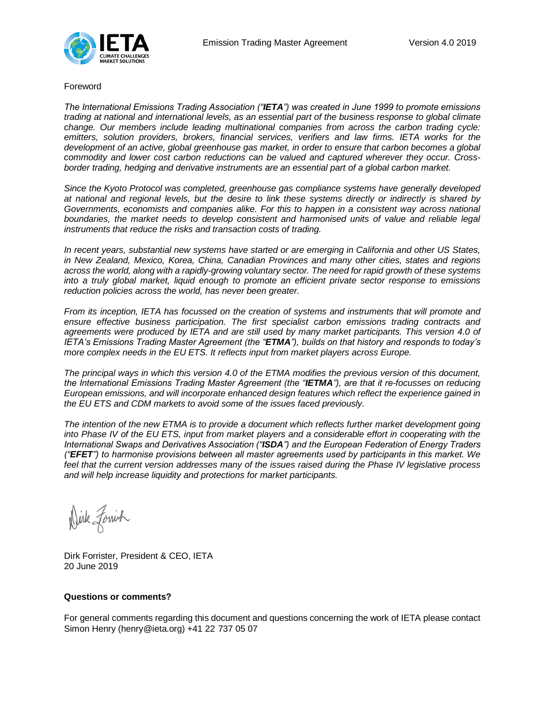

Foreword

*The International Emissions Trading Association ("IETA") was created in June 1999 to promote emissions trading at national and international levels, as an essential part of the business response to global climate change. Our members include leading multinational companies from across the carbon trading cycle: emitters, solution providers, brokers, financial services, verifiers and law firms. IETA works for the development of an active, global greenhouse gas market, in order to ensure that carbon becomes a global commodity and lower cost carbon reductions can be valued and captured wherever they occur. Crossborder trading, hedging and derivative instruments are an essential part of a global carbon market.* 

*Since the Kyoto Protocol was completed, greenhouse gas compliance systems have generally developed at national and regional levels, but the desire to link these systems directly or indirectly is shared by Governments, economists and companies alike. For this to happen in a consistent way across national boundaries, the market needs to develop consistent and harmonised units of value and reliable legal instruments that reduce the risks and transaction costs of trading.*

*In recent years, substantial new systems have started or are emerging in California and other US States, in New Zealand, Mexico, Korea, China, Canadian Provinces and many other cities, states and regions across the world, along with a rapidly-growing voluntary sector. The need for rapid growth of these systems into a truly global market, liquid enough to promote an efficient private sector response to emissions reduction policies across the world, has never been greater.*

*From its inception, IETA has focussed on the creation of systems and instruments that will promote and ensure effective business participation. The first specialist carbon emissions trading contracts and agreements were produced by IETA and are still used by many market participants. This version 4.0 of IETA's Emissions Trading Master Agreement (the "ETMA"), builds on that history and responds to today's more complex needs in the EU ETS. It reflects input from market players across Europe.*

*The principal ways in which this version 4.0 of the ETMA modifies the previous version of this document, the International Emissions Trading Master Agreement (the "IETMA"), are that it re-focusses on reducing European emissions, and will incorporate enhanced design features which reflect the experience gained in the EU ETS and CDM markets to avoid some of the issues faced previously.* 

*The intention of the new ETMA is to provide a document which reflects further market development going into Phase IV of the EU ETS, input from market players and a considerable effort in cooperating with the International Swaps and Derivatives Association ("ISDA") and the European Federation of Energy Traders ("EFET") to harmonise provisions between all master agreements used by participants in this market. We feel that the current version addresses many of the issues raised during the Phase IV legislative process and will help increase liquidity and protections for market participants.*

Wirk Forrish

Dirk Forrister, President & CEO, IETA 20 June 2019

#### **Questions or comments?**

For general comments regarding this document and questions concerning the work of IETA please contact Simon Henry (henry@ieta.org) +41 22 737 05 07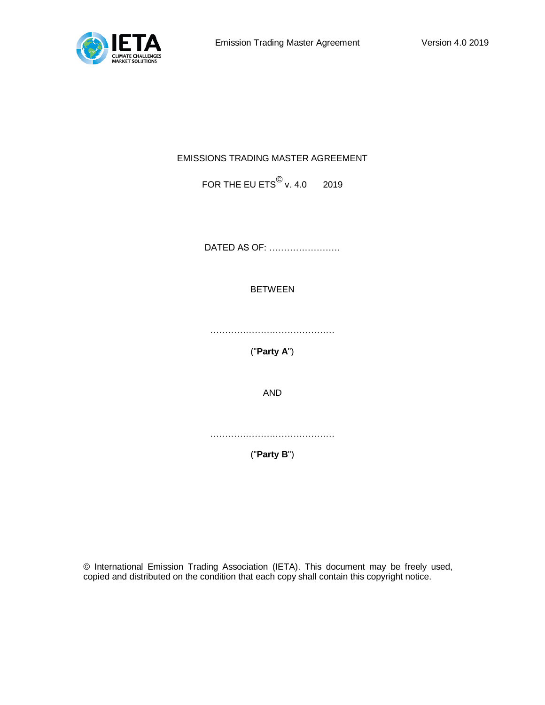

# EMISSIONS TRADING MASTER AGREEMENT

FOR THE EU ETS $^\copyright$  v. 4.0  $^-$  2019

DATED AS OF: ……………………

BETWEEN

……………………………………

("**Party A**")

AND

……………………………………

("**Party B**")

© International Emission Trading Association (IETA). This document may be freely used, copied and distributed on the condition that each copy shall contain this copyright notice.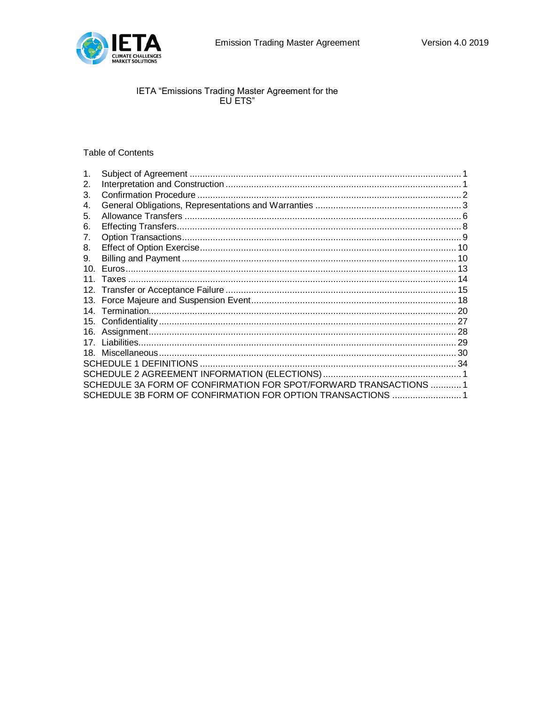

# IETA "Emissions Trading Master Agreement for the<br>EU ETS"

# Table of Contents

| 2.                                                                |  |  |  |
|-------------------------------------------------------------------|--|--|--|
| 3.                                                                |  |  |  |
| 4.                                                                |  |  |  |
| 5.                                                                |  |  |  |
| 6.                                                                |  |  |  |
| 7.                                                                |  |  |  |
| 8.                                                                |  |  |  |
| 9.                                                                |  |  |  |
| 10.                                                               |  |  |  |
|                                                                   |  |  |  |
|                                                                   |  |  |  |
|                                                                   |  |  |  |
|                                                                   |  |  |  |
| 15.                                                               |  |  |  |
| 16.                                                               |  |  |  |
| 17                                                                |  |  |  |
| 18.                                                               |  |  |  |
|                                                                   |  |  |  |
|                                                                   |  |  |  |
| SCHEDULE 3A FORM OF CONFIRMATION FOR SPOT/FORWARD TRANSACTIONS  1 |  |  |  |
| SCHEDULE 3B FORM OF CONFIRMATION FOR OPTION TRANSACTIONS  1       |  |  |  |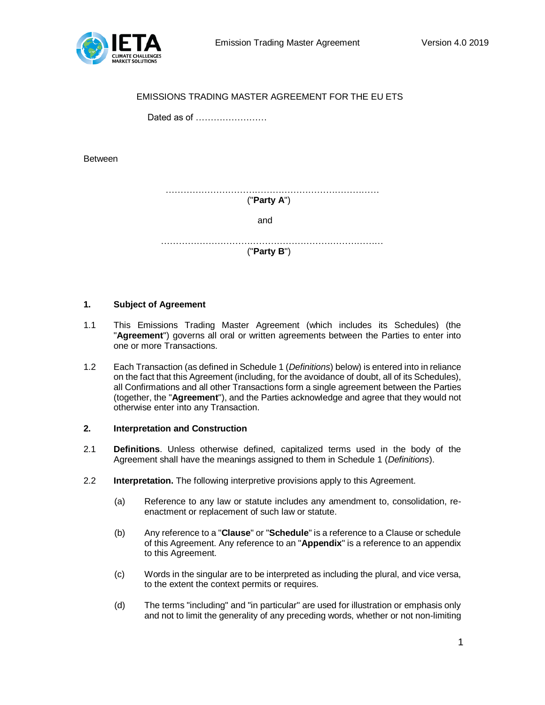

# EMISSIONS TRADING MASTER AGREEMENT FOR THE EU ETS

Dated as of ……………………

Between

| ("Party A") |
|-------------|
| and         |
| ("Party B") |

#### <span id="page-4-0"></span>**1. Subject of Agreement**

- 1.1 This Emissions Trading Master Agreement (which includes its Schedules) (the "**Agreement**") governs all oral or written agreements between the Parties to enter into one or more Transactions.
- 1.2 Each Transaction (as defined in Schedule 1 (*Definitions*) below) is entered into in reliance on the fact that this Agreement (including, for the avoidance of doubt, all of its Schedules), all Confirmations and all other Transactions form a single agreement between the Parties (together, the "**Agreement**"), and the Parties acknowledge and agree that they would not otherwise enter into any Transaction.

#### <span id="page-4-2"></span><span id="page-4-1"></span>**2. Interpretation and Construction**

- 2.1 **Definitions**. Unless otherwise defined, capitalized terms used in the body of the Agreement shall have the meanings assigned to them in Schedule 1 (*Definitions*).
- 2.2 **Interpretation.** The following interpretive provisions apply to this Agreement.
	- (a) Reference to any law or statute includes any amendment to, consolidation, reenactment or replacement of such law or statute.
	- (b) Any reference to a "**Clause**" or "**Schedule**" is a reference to a Clause or schedule of this Agreement. Any reference to an "**Appendix**" is a reference to an appendix to this Agreement.
	- (c) Words in the singular are to be interpreted as including the plural, and vice versa, to the extent the context permits or requires.
	- (d) The terms "including" and "in particular" are used for illustration or emphasis only and not to limit the generality of any preceding words, whether or not non-limiting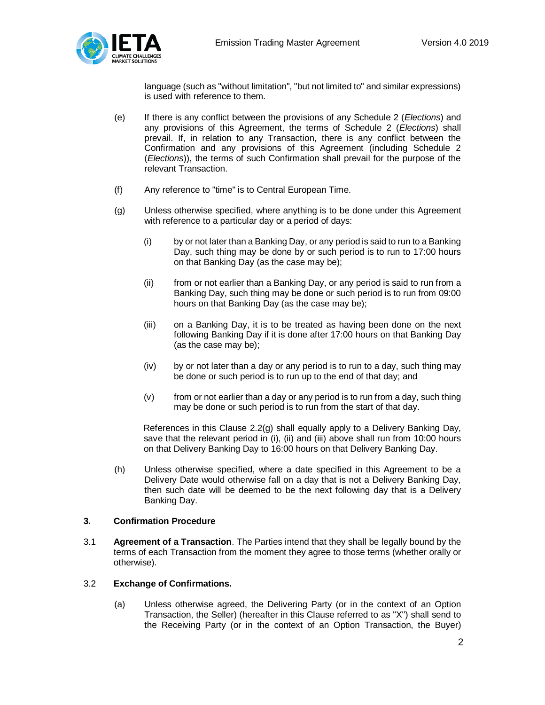

language (such as "without limitation", "but not limited to" and similar expressions) is used with reference to them.

- (e) If there is any conflict between the provisions of any Schedule 2 (*Elections*) and any provisions of this Agreement, the terms of Schedule 2 (*Elections*) shall prevail. If, in relation to any Transaction, there is any conflict between the Confirmation and any provisions of this Agreement (including Schedule 2 (*Elections*)), the terms of such Confirmation shall prevail for the purpose of the relevant Transaction.
- (f) Any reference to "time" is to Central European Time.
- <span id="page-5-4"></span><span id="page-5-3"></span><span id="page-5-2"></span><span id="page-5-1"></span>(g) Unless otherwise specified, where anything is to be done under this Agreement with reference to a particular day or a period of days:
	- (i) by or not later than a Banking Day, or any period is said to run to a Banking Day, such thing may be done by or such period is to run to 17:00 hours on that Banking Day (as the case may be);
	- (ii) from or not earlier than a Banking Day, or any period is said to run from a Banking Day, such thing may be done or such period is to run from 09:00 hours on that Banking Day (as the case may be);
	- (iii) on a Banking Day, it is to be treated as having been done on the next following Banking Day if it is done after 17:00 hours on that Banking Day (as the case may be);
	- $(iv)$  by or not later than a day or any period is to run to a day, such thing may be done or such period is to run up to the end of that day; and
	- $(v)$  from or not earlier than a day or any period is to run from a day, such thing may be done or such period is to run from the start of that day.

References in this Clause [2.2\(g\)](#page-5-1) shall equally apply to a Delivery Banking Day, save that the relevant period in [\(i\),](#page-5-2) [\(ii\)](#page-5-3) and [\(iii\)](#page-5-4) above shall run from 10:00 hours on that Delivery Banking Day to 16:00 hours on that Delivery Banking Day.

(h) Unless otherwise specified, where a date specified in this Agreement to be a Delivery Date would otherwise fall on a day that is not a Delivery Banking Day, then such date will be deemed to be the next following day that is a Delivery Banking Day.

#### <span id="page-5-0"></span>**3. Confirmation Procedure**

3.1 **Agreement of a Transaction**. The Parties intend that they shall be legally bound by the terms of each Transaction from the moment they agree to those terms (whether orally or otherwise).

#### <span id="page-5-5"></span>3.2 **Exchange of Confirmations.**

(a) Unless otherwise agreed, the Delivering Party (or in the context of an Option Transaction, the Seller) (hereafter in this Clause referred to as "X") shall send to the Receiving Party (or in the context of an Option Transaction, the Buyer)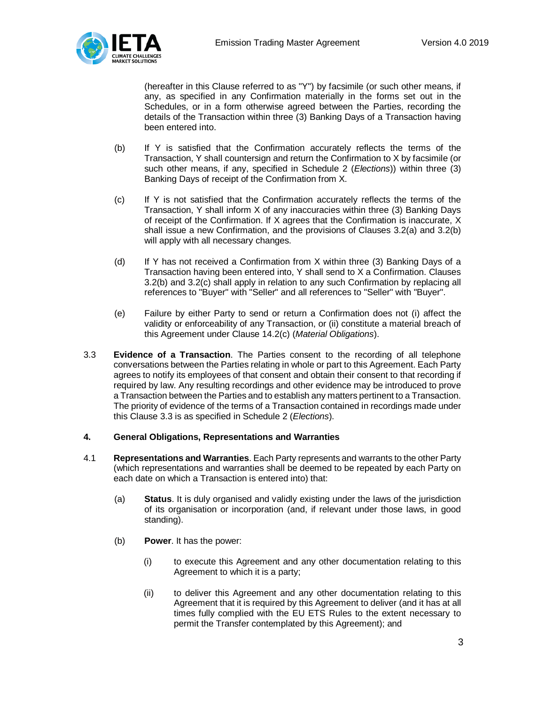

(hereafter in this Clause referred to as "Y") by facsimile (or such other means, if any, as specified in any Confirmation materially in the forms set out in the Schedules, or in a form otherwise agreed between the Parties, recording the details of the Transaction within three (3) Banking Days of a Transaction having been entered into.

- <span id="page-6-1"></span>(b) If Y is satisfied that the Confirmation accurately reflects the terms of the Transaction, Y shall countersign and return the Confirmation to X by facsimile (or such other means, if any, specified in Schedule 2 (*Elections*)) within three (3) Banking Days of receipt of the Confirmation from X.
- <span id="page-6-2"></span>(c) If Y is not satisfied that the Confirmation accurately reflects the terms of the Transaction, Y shall inform X of any inaccuracies within three (3) Banking Days of receipt of the Confirmation. If X agrees that the Confirmation is inaccurate, X shall issue a new Confirmation, and the provisions of Clauses [3.2\(a\)](#page-5-5) and [3.2\(b\)](#page-6-1) will apply with all necessary changes.
- (d) If Y has not received a Confirmation from X within three (3) Banking Days of a Transaction having been entered into, Y shall send to X a Confirmation. Clauses [3.2\(b\)](#page-6-1) and [3.2\(c\)](#page-6-2) shall apply in relation to any such Confirmation by replacing all references to "Buyer" with "Seller" and all references to "Seller" with "Buyer".
- (e) Failure by either Party to send or return a Confirmation does not (i) affect the validity or enforceability of any Transaction, or (ii) constitute a material breach of this Agreement under Clause [14.2\(c\)](#page-23-1) (*Material Obligations*).
- <span id="page-6-3"></span>3.3 **Evidence of a Transaction**. The Parties consent to the recording of all telephone conversations between the Parties relating in whole or part to this Agreement. Each Party agrees to notify its employees of that consent and obtain their consent to that recording if required by law. Any resulting recordings and other evidence may be introduced to prove a Transaction between the Parties and to establish any matters pertinent to a Transaction. The priority of evidence of the terms of a Transaction contained in recordings made under this Clause [3.3](#page-6-3) is as specified in Schedule 2 (*Elections*).

#### <span id="page-6-0"></span>**4. General Obligations, Representations and Warranties**

- <span id="page-6-4"></span>4.1 **Representations and Warranties**. Each Party represents and warrants to the other Party (which representations and warranties shall be deemed to be repeated by each Party on each date on which a Transaction is entered into) that:
	- (a) **Status**. It is duly organised and validly existing under the laws of the jurisdiction of its organisation or incorporation (and, if relevant under those laws, in good standing).
	- (b) **Power**. It has the power:
		- (i) to execute this Agreement and any other documentation relating to this Agreement to which it is a party;
		- (ii) to deliver this Agreement and any other documentation relating to this Agreement that it is required by this Agreement to deliver (and it has at all times fully complied with the EU ETS Rules to the extent necessary to permit the Transfer contemplated by this Agreement); and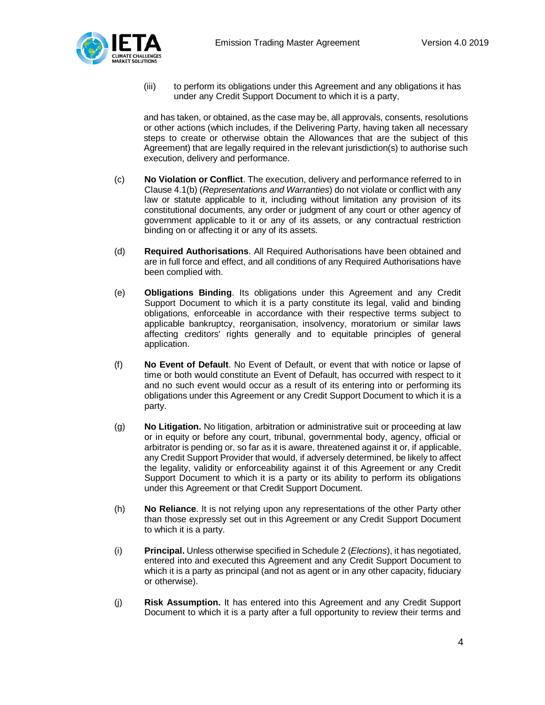

(iii) to perform its obligations under this Agreement and any obligations it has under any Credit Support Document to which it is a party,

and has taken, or obtained, as the case may be, all approvals, consents, resolutions or other actions (which includes, if the Delivering Party, having taken all necessary steps to create or otherwise obtain the Allowances that are the subject of this Agreement) that are legally required in the relevant jurisdiction(s) to authorise such execution, delivery and performance.

- (c) **No Violation or Conflict**. The execution, delivery and performance referred to in Clause [4.1\(b\)](#page-6-4) (*Representations and Warranties*) do not violate or conflict with any law or statute applicable to it, including without limitation any provision of its constitutional documents, any order or judgment of any court or other agency of government applicable to it or any of its assets, or any contractual restriction binding on or affecting it or any of its assets.
- (d) **Required Authorisations**. All Required Authorisations have been obtained and are in full force and effect, and all conditions of any Required Authorisations have been complied with.
- (e) **Obligations Binding**. Its obligations under this Agreement and any Credit Support Document to which it is a party constitute its legal, valid and binding obligations, enforceable in accordance with their respective terms subject to applicable bankruptcy, reorganisation, insolvency, moratorium or similar laws affecting creditors' rights generally and to equitable principles of general application.
- (f) **No Event of Default**. No Event of Default, or event that with notice or lapse of time or both would constitute an Event of Default, has occurred with respect to it and no such event would occur as a result of its entering into or performing its obligations under this Agreement or any Credit Support Document to which it is a party.
- (g) **No Litigation.** No litigation, arbitration or administrative suit or proceeding at law or in equity or before any court, tribunal, governmental body, agency, official or arbitrator is pending or, so far as it is aware, threatened against it or, if applicable, any Credit Support Provider that would, if adversely determined, be likely to affect the legality, validity or enforceability against it of this Agreement or any Credit Support Document to which it is a party or its ability to perform its obligations under this Agreement or that Credit Support Document.
- (h) **No Reliance**. It is not relying upon any representations of the other Party other than those expressly set out in this Agreement or any Credit Support Document to which it is a party.
- (i) **Principal.** Unless otherwise specified in Schedule 2 (*Elections*), it has negotiated, entered into and executed this Agreement and any Credit Support Document to which it is a party as principal (and not as agent or in any other capacity, fiduciary or otherwise).
- (j) **Risk Assumption.** It has entered into this Agreement and any Credit Support Document to which it is a party after a full opportunity to review their terms and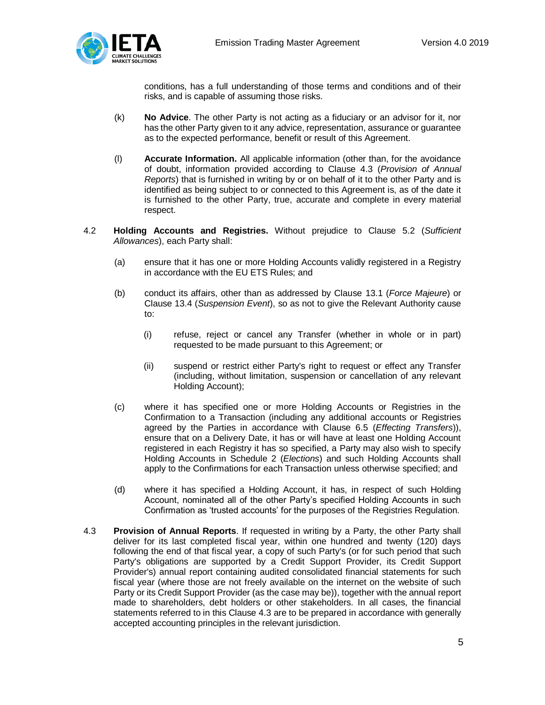



conditions, has a full understanding of those terms and conditions and of their risks, and is capable of assuming those risks.

- (k) **No Advice**. The other Party is not acting as a fiduciary or an advisor for it, nor has the other Party given to it any advice, representation, assurance or guarantee as to the expected performance, benefit or result of this Agreement.
- (l) **Accurate Information.** All applicable information (other than, for the avoidance of doubt, information provided according to Clause [4.3](#page-8-0) (*Provision of Annual Reports*) that is furnished in writing by or on behalf of it to the other Party and is identified as being subject to or connected to this Agreement is, as of the date it is furnished to the other Party, true, accurate and complete in every material respect.
- <span id="page-8-1"></span>4.2 **Holding Accounts and Registries.** Without prejudice to Clause [5.2](#page-10-0) (*Sufficient Allowances*), each Party shall:
	- (a) ensure that it has one or more Holding Accounts validly registered in a Registry in accordance with the EU ETS Rules; and
	- (b) conduct its affairs, other than as addressed by Clause [13.](#page-21-0)1 (*Force Majeure*) or Clause [13.4](#page-22-0) (*Suspension Event*), so as not to give the Relevant Authority cause to:
		- (i) refuse, reject or cancel any Transfer (whether in whole or in part) requested to be made pursuant to this Agreement; or
		- (ii) suspend or restrict either Party's right to request or effect any Transfer (including, without limitation, suspension or cancellation of any relevant Holding Account);
	- (c) where it has specified one or more Holding Accounts or Registries in the Confirmation to a Transaction (including any additional accounts or Registries agreed by the Parties in accordance with Clause [6.5](#page-11-1) (*Effecting Transfers*)), ensure that on a Delivery Date, it has or will have at least one Holding Account registered in each Registry it has so specified, a Party may also wish to specify Holding Accounts in Schedule 2 (*Elections*) and such Holding Accounts shall apply to the Confirmations for each Transaction unless otherwise specified; and
	- (d) where it has specified a Holding Account, it has, in respect of such Holding Account, nominated all of the other Party's specified Holding Accounts in such Confirmation as 'trusted accounts' for the purposes of the Registries Regulation.
- <span id="page-8-0"></span>4.3 **Provision of Annual Reports**. If requested in writing by a Party, the other Party shall deliver for its last completed fiscal year, within one hundred and twenty (120) days following the end of that fiscal year, a copy of such Party's (or for such period that such Party's obligations are supported by a Credit Support Provider, its Credit Support Provider's) annual report containing audited consolidated financial statements for such fiscal year (where those are not freely available on the internet on the website of such Party or its Credit Support Provider (as the case may be)), together with the annual report made to shareholders, debt holders or other stakeholders. In all cases, the financial statements referred to in this Clause [4.3](#page-8-0) are to be prepared in accordance with generally accepted accounting principles in the relevant jurisdiction.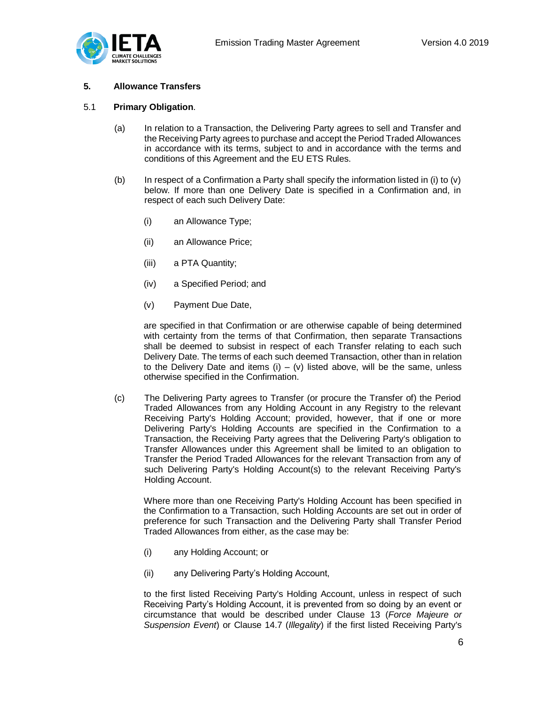



# <span id="page-9-0"></span>**5. Allowance Transfers**

#### <span id="page-9-2"></span><span id="page-9-1"></span>5.1 **Primary Obligation**.

- (a) In relation to a Transaction, the Delivering Party agrees to sell and Transfer and the Receiving Party agrees to purchase and accept the Period Traded Allowances in accordance with its terms, subject to and in accordance with the terms and conditions of this Agreement and the EU ETS Rules.
- (b) In respect of a Confirmation a Party shall specify the information listed in (i) to  $(v)$ below. If more than one Delivery Date is specified in a Confirmation and, in respect of each such Delivery Date:
	- (i) an Allowance Type;
	- (ii) an Allowance Price;
	- (iii) a PTA Quantity;
	- (iv) a Specified Period; and
	- (v) Payment Due Date,

are specified in that Confirmation or are otherwise capable of being determined with certainty from the terms of that Confirmation, then separate Transactions shall be deemed to subsist in respect of each Transfer relating to each such Delivery Date. The terms of each such deemed Transaction, other than in relation to the Delivery Date and items  $(i) - (v)$  listed above, will be the same, unless otherwise specified in the Confirmation.

<span id="page-9-3"></span>(c) The Delivering Party agrees to Transfer (or procure the Transfer of) the Period Traded Allowances from any Holding Account in any Registry to the relevant Receiving Party's Holding Account; provided, however, that if one or more Delivering Party's Holding Accounts are specified in the Confirmation to a Transaction, the Receiving Party agrees that the Delivering Party's obligation to Transfer Allowances under this Agreement shall be limited to an obligation to Transfer the Period Traded Allowances for the relevant Transaction from any of such Delivering Party's Holding Account(s) to the relevant Receiving Party's Holding Account.

Where more than one Receiving Party's Holding Account has been specified in the Confirmation to a Transaction, such Holding Accounts are set out in order of preference for such Transaction and the Delivering Party shall Transfer Period Traded Allowances from either, as the case may be:

- (i) any Holding Account; or
- (ii) any Delivering Party's Holding Account,

to the first listed Receiving Party's Holding Account, unless in respect of such Receiving Party's Holding Account, it is prevented from so doing by an event or circumstance that would be described under Clause [13](#page-21-0) (*Force Majeure or Suspension Event*) or Clause [14.7](#page-29-0) (*Illegality*) if the first listed Receiving Party's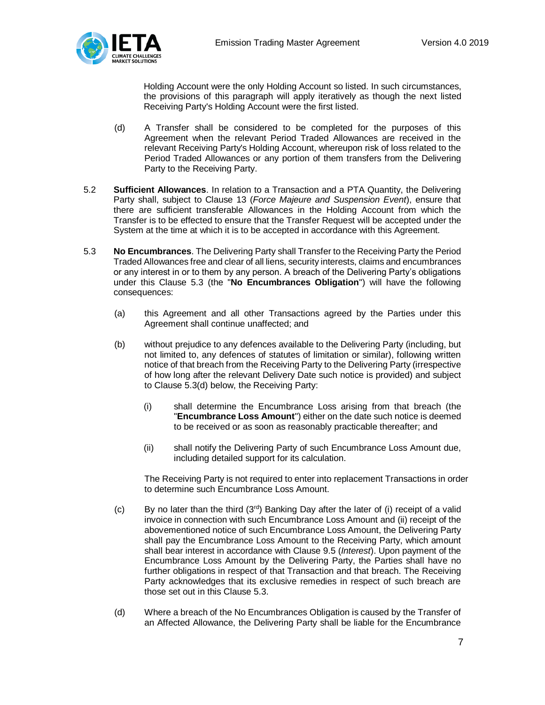

Holding Account were the only Holding Account so listed. In such circumstances, the provisions of this paragraph will apply iteratively as though the next listed Receiving Party's Holding Account were the first listed.

- (d) A Transfer shall be considered to be completed for the purposes of this Agreement when the relevant Period Traded Allowances are received in the relevant Receiving Party's Holding Account, whereupon risk of loss related to the Period Traded Allowances or any portion of them transfers from the Delivering Party to the Receiving Party.
- <span id="page-10-0"></span>5.2 **Sufficient Allowances**. In relation to a Transaction and a PTA Quantity, the Delivering Party shall, subject to Clause [13](#page-21-0) (*Force Majeure and Suspension Event*), ensure that there are sufficient transferable Allowances in the Holding Account from which the Transfer is to be effected to ensure that the Transfer Request will be accepted under the System at the time at which it is to be accepted in accordance with this Agreement.
- <span id="page-10-3"></span><span id="page-10-1"></span>5.3 **No Encumbrances**. The Delivering Party shall Transfer to the Receiving Party the Period Traded Allowances free and clear of all liens, security interests, claims and encumbrances or any interest in or to them by any person. A breach of the Delivering Party's obligations under this Clause [5.3](#page-10-1) (the "**No Encumbrances Obligation**") will have the following consequences:
	- (a) this Agreement and all other Transactions agreed by the Parties under this Agreement shall continue unaffected; and
	- (b) without prejudice to any defences available to the Delivering Party (including, but not limited to, any defences of statutes of limitation or similar), following written notice of that breach from the Receiving Party to the Delivering Party (irrespective of how long after the relevant Delivery Date such notice is provided) and subject to Clause [5.3\(d\)](#page-10-2) below, the Receiving Party:
		- (i) shall determine the Encumbrance Loss arising from that breach (the "**Encumbrance Loss Amount**") either on the date such notice is deemed to be received or as soon as reasonably practicable thereafter; and
		- (ii) shall notify the Delivering Party of such Encumbrance Loss Amount due, including detailed support for its calculation.

The Receiving Party is not required to enter into replacement Transactions in order to determine such Encumbrance Loss Amount.

- (c) By no later than the third  $(3<sup>rd</sup>)$  Banking Day after the later of (i) receipt of a valid invoice in connection with such Encumbrance Loss Amount and (ii) receipt of the abovementioned notice of such Encumbrance Loss Amount, the Delivering Party shall pay the Encumbrance Loss Amount to the Receiving Party, which amount shall bear interest in accordance with Clause [9.5](#page-15-0) (*Interest*). Upon payment of the Encumbrance Loss Amount by the Delivering Party, the Parties shall have no further obligations in respect of that Transaction and that breach. The Receiving Party acknowledges that its exclusive remedies in respect of such breach are those set out in this Clause [5.3.](#page-10-1)
- <span id="page-10-2"></span>(d) Where a breach of the No Encumbrances Obligation is caused by the Transfer of an Affected Allowance, the Delivering Party shall be liable for the Encumbrance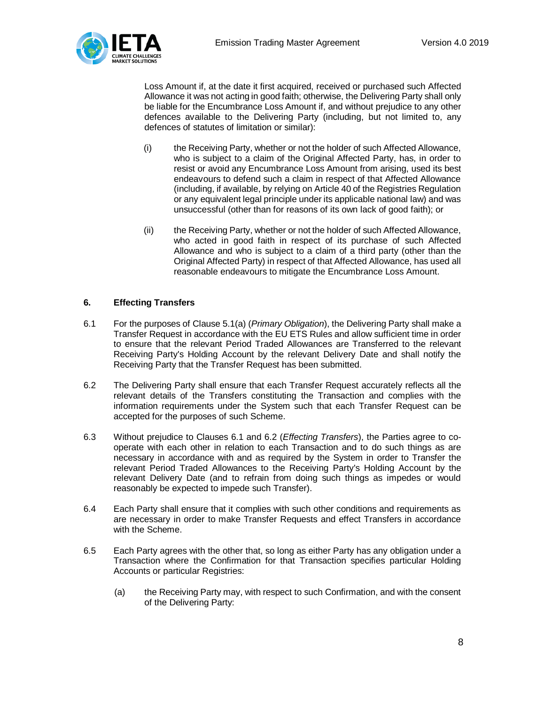

Loss Amount if, at the date it first acquired, received or purchased such Affected Allowance it was not acting in good faith; otherwise, the Delivering Party shall only be liable for the Encumbrance Loss Amount if, and without prejudice to any other defences available to the Delivering Party (including, but not limited to, any defences of statutes of limitation or similar):

- (i) the Receiving Party, whether or not the holder of such Affected Allowance, who is subject to a claim of the Original Affected Party, has, in order to resist or avoid any Encumbrance Loss Amount from arising, used its best endeavours to defend such a claim in respect of that Affected Allowance (including, if available, by relying on Article 40 of the Registries Regulation or any equivalent legal principle under its applicable national law) and was unsuccessful (other than for reasons of its own lack of good faith); or
- (ii) the Receiving Party, whether or not the holder of such Affected Allowance, who acted in good faith in respect of its purchase of such Affected Allowance and who is subject to a claim of a third party (other than the Original Affected Party) in respect of that Affected Allowance, has used all reasonable endeavours to mitigate the Encumbrance Loss Amount.

# <span id="page-11-0"></span>**6. Effecting Transfers**

- <span id="page-11-5"></span><span id="page-11-2"></span>6.1 For the purposes of Clause [5.1\(a\)](#page-9-1) (*Primary Obligation*), the Delivering Party shall make a Transfer Request in accordance with the EU ETS Rules and allow sufficient time in order to ensure that the relevant Period Traded Allowances are Transferred to the relevant Receiving Party's Holding Account by the relevant Delivery Date and shall notify the Receiving Party that the Transfer Request has been submitted.
- <span id="page-11-3"></span>6.2 The Delivering Party shall ensure that each Transfer Request accurately reflects all the relevant details of the Transfers constituting the Transaction and complies with the information requirements under the System such that each Transfer Request can be accepted for the purposes of such Scheme.
- 6.3 Without prejudice to Clauses [6.1](#page-11-2) and [6.2](#page-11-3) (*Effecting Transfers*), the Parties agree to cooperate with each other in relation to each Transaction and to do such things as are necessary in accordance with and as required by the System in order to Transfer the relevant Period Traded Allowances to the Receiving Party's Holding Account by the relevant Delivery Date (and to refrain from doing such things as impedes or would reasonably be expected to impede such Transfer).
- 6.4 Each Party shall ensure that it complies with such other conditions and requirements as are necessary in order to make Transfer Requests and effect Transfers in accordance with the Scheme.
- <span id="page-11-4"></span><span id="page-11-1"></span>6.5 Each Party agrees with the other that, so long as either Party has any obligation under a Transaction where the Confirmation for that Transaction specifies particular Holding Accounts or particular Registries:
	- (a) the Receiving Party may, with respect to such Confirmation, and with the consent of the Delivering Party: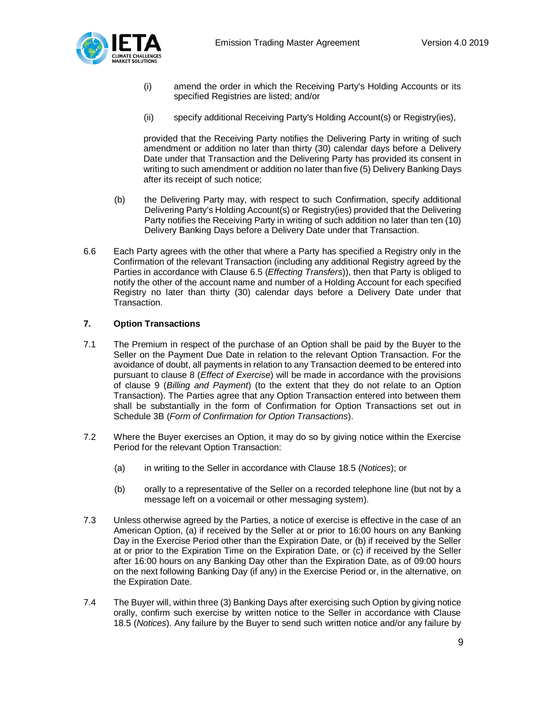

- (i) amend the order in which the Receiving Party's Holding Accounts or its specified Registries are listed; and/or
- (ii) specify additional Receiving Party's Holding Account(s) or Registry(ies),

provided that the Receiving Party notifies the Delivering Party in writing of such amendment or addition no later than thirty (30) calendar days before a Delivery Date under that Transaction and the Delivering Party has provided its consent in writing to such amendment or addition no later than five (5) Delivery Banking Days after its receipt of such notice;

- (b) the Delivering Party may, with respect to such Confirmation, specify additional Delivering Party's Holding Account(s) or Registry(ies) provided that the Delivering Party notifies the Receiving Party in writing of such addition no later than ten (10) Delivery Banking Days before a Delivery Date under that Transaction.
- 6.6 Each Party agrees with the other that where a Party has specified a Registry only in the Confirmation of the relevant Transaction (including any additional Registry agreed by the Parties in accordance with Clause [6.5](#page-11-1) (*Effecting Transfers*)), then that Party is obliged to notify the other of the account name and number of a Holding Account for each specified Registry no later than thirty (30) calendar days before a Delivery Date under that Transaction.

# <span id="page-12-1"></span><span id="page-12-0"></span>**7. Option Transactions**

- 7.1 The Premium in respect of the purchase of an Option shall be paid by the Buyer to the Seller on the Payment Due Date in relation to the relevant Option Transaction. For the avoidance of doubt, all payments in relation to any Transaction deemed to be entered into pursuant to clause 8 (*Effect of Exercise*) will be made in accordance with the provisions of clause 9 (*Billing and Payment*) (to the extent that they do not relate to an Option Transaction). The Parties agree that any Option Transaction entered into between them shall be substantially in the form of Confirmation for Option Transactions set out in Schedule 3B (*Form of Confirmation for Option Transactions*).
- 7.2 Where the Buyer exercises an Option, it may do so by giving notice within the Exercise Period for the relevant Option Transaction:
	- (a) in writing to the Seller in accordance with Clause [18.5](#page-33-0) (*Notices*); or
	- (b) orally to a representative of the Seller on a recorded telephone line (but not by a message left on a voicemail or other messaging system).
- 7.3 Unless otherwise agreed by the Parties, a notice of exercise is effective in the case of an American Option, (a) if received by the Seller at or prior to 16:00 hours on any Banking Day in the Exercise Period other than the Expiration Date, or (b) if received by the Seller at or prior to the Expiration Time on the Expiration Date, or (c) if received by the Seller after 16:00 hours on any Banking Day other than the Expiration Date, as of 09:00 hours on the next following Banking Day (if any) in the Exercise Period or, in the alternative, on the Expiration Date.
- 7.4 The Buyer will, within three (3) Banking Days after exercising such Option by giving notice orally, confirm such exercise by written notice to the Seller in accordance with Clause [18.5](#page-33-0) (*Notices*). Any failure by the Buyer to send such written notice and/or any failure by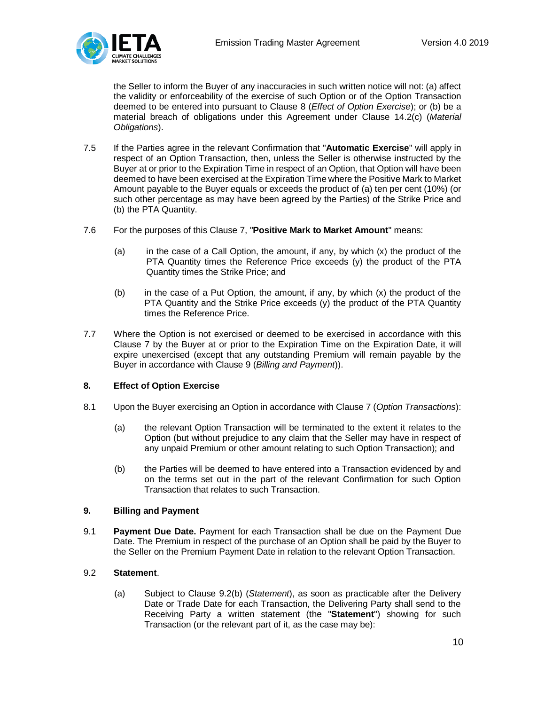

the Seller to inform the Buyer of any inaccuracies in such written notice will not: (a) affect the validity or enforceability of the exercise of such Option or of the Option Transaction deemed to be entered into pursuant to Clause [8](#page-13-0) (*Effect of Option Exercise*); or (b) be a material breach of obligations under this Agreement under Clause [14.2\(c\)](#page-23-1) (*Material Obligations*).

- 7.5 If the Parties agree in the relevant Confirmation that "**Automatic Exercise**" will apply in respect of an Option Transaction, then, unless the Seller is otherwise instructed by the Buyer at or prior to the Expiration Time in respect of an Option, that Option will have been deemed to have been exercised at the Expiration Time where the Positive Mark to Market Amount payable to the Buyer equals or exceeds the product of (a) ten per cent (10%) (or such other percentage as may have been agreed by the Parties) of the Strike Price and (b) the PTA Quantity.
- <span id="page-13-5"></span><span id="page-13-3"></span>7.6 For the purposes of this Clause [7,](#page-12-0) "**Positive Mark to Market Amount**" means:
	- (a) in the case of a Call Option, the amount, if any, by which (x) the product of the PTA Quantity times the Reference Price exceeds (y) the product of the PTA Quantity times the Strike Price; and
	- (b) in the case of a Put Option, the amount, if any, by which (x) the product of the PTA Quantity and the Strike Price exceeds (y) the product of the PTA Quantity times the Reference Price.
- 7.7 Where the Option is not exercised or deemed to be exercised in accordance with this Clause [7](#page-12-0) by the Buyer at or prior to the Expiration Time on the Expiration Date, it will expire unexercised (except that any outstanding Premium will remain payable by the Buyer in accordance with Clause [9](#page-13-1) (*Billing and Payment*)).

# <span id="page-13-0"></span>**8. Effect of Option Exercise**

- 8.1 Upon the Buyer exercising an Option in accordance with Clause [7](#page-12-0) (*Option Transactions*):
	- (a) the relevant Option Transaction will be terminated to the extent it relates to the Option (but without prejudice to any claim that the Seller may have in respect of any unpaid Premium or other amount relating to such Option Transaction); and
	- (b) the Parties will be deemed to have entered into a Transaction evidenced by and on the terms set out in the part of the relevant Confirmation for such Option Transaction that relates to such Transaction.

#### <span id="page-13-1"></span>**9. Billing and Payment**

9.1 **Payment Due Date.** Payment for each Transaction shall be due on the Payment Due Date. The Premium in respect of the purchase of an Option shall be paid by the Buyer to the Seller on the Premium Payment Date in relation to the relevant Option Transaction.

#### <span id="page-13-4"></span><span id="page-13-2"></span>9.2 **Statement**.

<span id="page-13-6"></span>(a) Subject to Clause [9.2\(b\)](#page-14-0) (*Statement*), as soon as practicable after the Delivery Date or Trade Date for each Transaction, the Delivering Party shall send to the Receiving Party a written statement (the "**Statement**") showing for such Transaction (or the relevant part of it, as the case may be):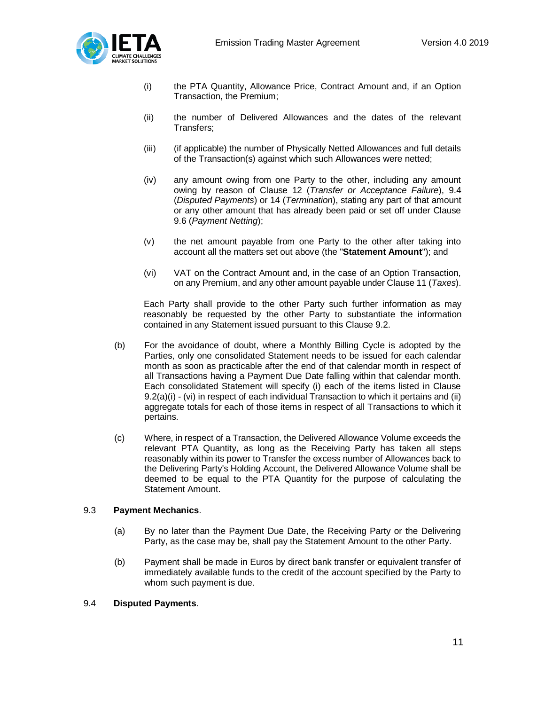<span id="page-14-2"></span>

- (i) the PTA Quantity, Allowance Price, Contract Amount and, if an Option Transaction, the Premium;
- (ii) the number of Delivered Allowances and the dates of the relevant Transfers;
- (iii) (if applicable) the number of Physically Netted Allowances and full details of the Transaction(s) against which such Allowances were netted;
- (iv) any amount owing from one Party to the other, including any amount owing by reason of Clause [12](#page-18-0) (*Transfer or Acceptance Failure*), [9.4](#page-14-1) (*Disputed Payments*) or [14](#page-23-0) (*Termination*), stating any part of that amount or any other amount that has already been paid or set off under Clause [9.6](#page-15-1) (*Payment Netting*);
- (v) the net amount payable from one Party to the other after taking into account all the matters set out above (the "**Statement Amount**"); and
- <span id="page-14-5"></span><span id="page-14-3"></span>(vi) VAT on the Contract Amount and, in the case of an Option Transaction, on any Premium, and any other amount payable under Clause [11](#page-17-0) (*Taxes*).

Each Party shall provide to the other Party such further information as may reasonably be requested by the other Party to substantiate the information contained in any Statement issued pursuant to this Clause [9.2.](#page-13-2)

- <span id="page-14-0"></span>(b) For the avoidance of doubt, where a Monthly Billing Cycle is adopted by the Parties, only one consolidated Statement needs to be issued for each calendar month as soon as practicable after the end of that calendar month in respect of all Transactions having a Payment Due Date falling within that calendar month. Each consolidated Statement will specify (i) each of the items listed in Clause [9.2\(a\)\(i\)](#page-14-2) - [\(vi\)](#page-14-3) in respect of each individual Transaction to which it pertains and (ii) aggregate totals for each of those items in respect of all Transactions to which it pertains.
- (c) Where, in respect of a Transaction, the Delivered Allowance Volume exceeds the relevant PTA Quantity, as long as the Receiving Party has taken all steps reasonably within its power to Transfer the excess number of Allowances back to the Delivering Party's Holding Account, the Delivered Allowance Volume shall be deemed to be equal to the PTA Quantity for the purpose of calculating the Statement Amount.

#### <span id="page-14-4"></span>9.3 **Payment Mechanics**.

- (a) By no later than the Payment Due Date, the Receiving Party or the Delivering Party, as the case may be, shall pay the Statement Amount to the other Party.
- (b) Payment shall be made in Euros by direct bank transfer or equivalent transfer of immediately available funds to the credit of the account specified by the Party to whom such payment is due.

#### <span id="page-14-1"></span>9.4 **Disputed Payments**.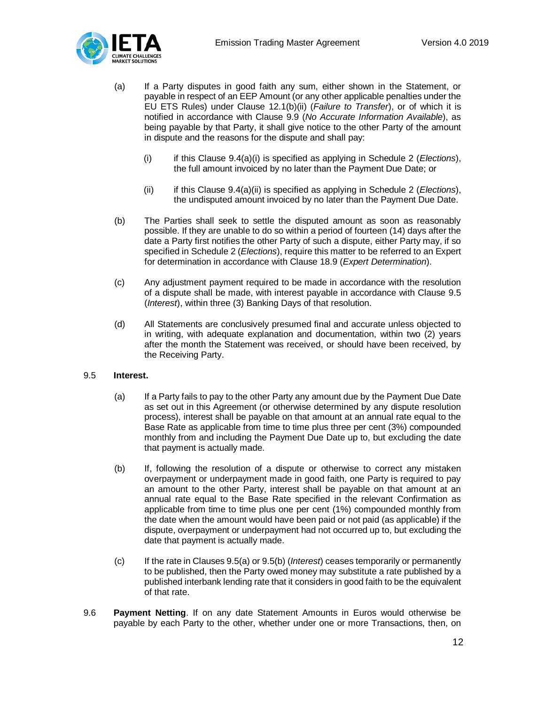



- (a) If a Party disputes in good faith any sum, either shown in the Statement, or payable in respect of an EEP Amount (or any other applicable penalties under the EU ETS Rules) under Clause [12.1\(b\)\(ii\)](#page-19-0) (*Failure to Transfer*), or of which it is notified in accordance with Clause [9.9](#page-16-1) (*No Accurate Information Available*), as being payable by that Party, it shall give notice to the other Party of the amount in dispute and the reasons for the dispute and shall pay:
	- (i) if this Clause [9.4\(a\)\(i\)](#page-15-2) is specified as applying in Schedule 2 (*Elections*), the full amount invoiced by no later than the Payment Due Date; or
	- (ii) if this Clause [9.4\(a\)\(ii\)](#page-15-3) is specified as applying in Schedule 2 (*Elections*), the undisputed amount invoiced by no later than the Payment Due Date.
- <span id="page-15-6"></span><span id="page-15-3"></span><span id="page-15-2"></span>(b) The Parties shall seek to settle the disputed amount as soon as reasonably possible. If they are unable to do so within a period of fourteen (14) days after the date a Party first notifies the other Party of such a dispute, either Party may, if so specified in Schedule 2 (*Elections*), require this matter to be referred to an Expert for determination in accordance with Clause [18.9](#page-34-0) (*Expert Determination*).
- (c) Any adjustment payment required to be made in accordance with the resolution of a dispute shall be made, with interest payable in accordance with Clause [9.5](#page-15-0) (*Interest*), within three (3) Banking Days of that resolution.
- (d) All Statements are conclusively presumed final and accurate unless objected to in writing, with adequate explanation and documentation, within two (2) years after the month the Statement was received, or should have been received, by the Receiving Party.

# <span id="page-15-4"></span><span id="page-15-0"></span>9.5 **Interest.**

- (a) If a Party fails to pay to the other Party any amount due by the Payment Due Date as set out in this Agreement (or otherwise determined by any dispute resolution process), interest shall be payable on that amount at an annual rate equal to the Base Rate as applicable from time to time plus three per cent (3%) compounded monthly from and including the Payment Due Date up to, but excluding the date that payment is actually made.
- <span id="page-15-7"></span><span id="page-15-5"></span>(b) If, following the resolution of a dispute or otherwise to correct any mistaken overpayment or underpayment made in good faith, one Party is required to pay an amount to the other Party, interest shall be payable on that amount at an annual rate equal to the Base Rate specified in the relevant Confirmation as applicable from time to time plus one per cent (1%) compounded monthly from the date when the amount would have been paid or not paid (as applicable) if the dispute, overpayment or underpayment had not occurred up to, but excluding the date that payment is actually made.
- (c) If the rate in Clauses [9.5\(a\)](#page-15-4) or [9.5\(b\)](#page-15-5) (*Interest*) ceases temporarily or permanently to be published, then the Party owed money may substitute a rate published by a published interbank lending rate that it considers in good faith to be the equivalent of that rate.
- <span id="page-15-1"></span>9.6 **Payment Netting**. If on any date Statement Amounts in Euros would otherwise be payable by each Party to the other, whether under one or more Transactions, then, on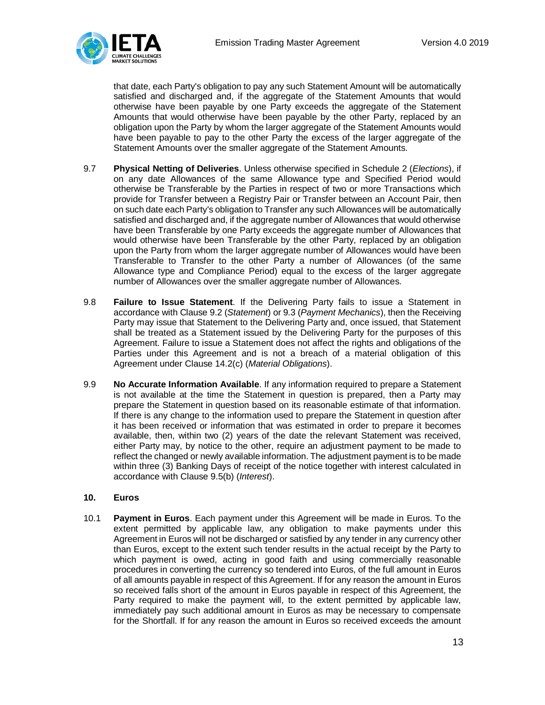

that date, each Party's obligation to pay any such Statement Amount will be automatically satisfied and discharged and, if the aggregate of the Statement Amounts that would otherwise have been payable by one Party exceeds the aggregate of the Statement Amounts that would otherwise have been payable by the other Party, replaced by an obligation upon the Party by whom the larger aggregate of the Statement Amounts would have been payable to pay to the other Party the excess of the larger aggregate of the Statement Amounts over the smaller aggregate of the Statement Amounts.

- <span id="page-16-2"></span>9.7 **Physical Netting of Deliveries**. Unless otherwise specified in Schedule 2 (*Elections*), if on any date Allowances of the same Allowance type and Specified Period would otherwise be Transferable by the Parties in respect of two or more Transactions which provide for Transfer between a Registry Pair or Transfer between an Account Pair, then on such date each Party's obligation to Transfer any such Allowances will be automatically satisfied and discharged and, if the aggregate number of Allowances that would otherwise have been Transferable by one Party exceeds the aggregate number of Allowances that would otherwise have been Transferable by the other Party, replaced by an obligation upon the Party from whom the larger aggregate number of Allowances would have been Transferable to Transfer to the other Party a number of Allowances (of the same Allowance type and Compliance Period) equal to the excess of the larger aggregate number of Allowances over the smaller aggregate number of Allowances.
- 9.8 **Failure to Issue Statement**. If the Delivering Party fails to issue a Statement in accordance with Claus[e 9.2](#page-13-2) (*Statement*) or [9.3](#page-14-4) (*Payment Mechanics*), then the Receiving Party may issue that Statement to the Delivering Party and, once issued, that Statement shall be treated as a Statement issued by the Delivering Party for the purposes of this Agreement. Failure to issue a Statement does not affect the rights and obligations of the Parties under this Agreement and is not a breach of a material obligation of this Agreement under Clause [14.2\(c\)](#page-23-1) (*Material Obligations*).
- <span id="page-16-1"></span>9.9 **No Accurate Information Available**. If any information required to prepare a Statement is not available at the time the Statement in question is prepared, then a Party may prepare the Statement in question based on its reasonable estimate of that information. If there is any change to the information used to prepare the Statement in question after it has been received or information that was estimated in order to prepare it becomes available, then, within two (2) years of the date the relevant Statement was received, either Party may, by notice to the other, require an adjustment payment to be made to reflect the changed or newly available information. The adjustment payment is to be made within three (3) Banking Days of receipt of the notice together with interest calculated in accordance with Clause [9.5\(b\)](#page-15-5) (*Interest*).

#### <span id="page-16-0"></span>**10. Euros**

10.1 **Payment in Euros**. Each payment under this Agreement will be made in Euros. To the extent permitted by applicable law, any obligation to make payments under this Agreement in Euros will not be discharged or satisfied by any tender in any currency other than Euros, except to the extent such tender results in the actual receipt by the Party to which payment is owed, acting in good faith and using commercially reasonable procedures in converting the currency so tendered into Euros, of the full amount in Euros of all amounts payable in respect of this Agreement. If for any reason the amount in Euros so received falls short of the amount in Euros payable in respect of this Agreement, the Party required to make the payment will, to the extent permitted by applicable law, immediately pay such additional amount in Euros as may be necessary to compensate for the Shortfall. If for any reason the amount in Euros so received exceeds the amount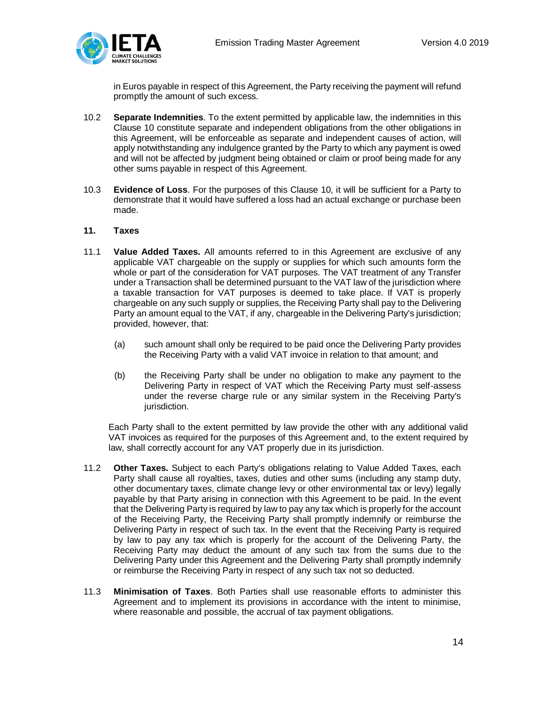

in Euros payable in respect of this Agreement, the Party receiving the payment will refund promptly the amount of such excess.

- 10.2 **Separate Indemnities**. To the extent permitted by applicable law, the indemnities in this Clause [10](#page-16-0) constitute separate and independent obligations from the other obligations in this Agreement, will be enforceable as separate and independent causes of action, will apply notwithstanding any indulgence granted by the Party to which any payment is owed and will not be affected by judgment being obtained or claim or proof being made for any other sums payable in respect of this Agreement.
- 10.3 **Evidence of Loss**. For the purposes of this Clause [10,](#page-16-0) it will be sufficient for a Party to demonstrate that it would have suffered a loss had an actual exchange or purchase been made.

#### <span id="page-17-0"></span>**11. Taxes**

- 11.1 **Value Added Taxes.** All amounts referred to in this Agreement are exclusive of any applicable VAT chargeable on the supply or supplies for which such amounts form the whole or part of the consideration for VAT purposes. The VAT treatment of any Transfer under a Transaction shall be determined pursuant to the VAT law of the jurisdiction where a taxable transaction for VAT purposes is deemed to take place. If VAT is properly chargeable on any such supply or supplies, the Receiving Party shall pay to the Delivering Party an amount equal to the VAT, if any, chargeable in the Delivering Party's jurisdiction; provided, however, that:
	- (a) such amount shall only be required to be paid once the Delivering Party provides the Receiving Party with a valid VAT invoice in relation to that amount; and
	- (b) the Receiving Party shall be under no obligation to make any payment to the Delivering Party in respect of VAT which the Receiving Party must self-assess under the reverse charge rule or any similar system in the Receiving Party's jurisdiction.

Each Party shall to the extent permitted by law provide the other with any additional valid VAT invoices as required for the purposes of this Agreement and, to the extent required by law, shall correctly account for any VAT properly due in its jurisdiction.

- 11.2 **Other Taxes.** Subject to each Party's obligations relating to Value Added Taxes, each Party shall cause all royalties, taxes, duties and other sums (including any stamp duty, other documentary taxes, climate change levy or other environmental tax or levy) legally payable by that Party arising in connection with this Agreement to be paid. In the event that the Delivering Party is required by law to pay any tax which is properly for the account of the Receiving Party, the Receiving Party shall promptly indemnify or reimburse the Delivering Party in respect of such tax. In the event that the Receiving Party is required by law to pay any tax which is properly for the account of the Delivering Party, the Receiving Party may deduct the amount of any such tax from the sums due to the Delivering Party under this Agreement and the Delivering Party shall promptly indemnify or reimburse the Receiving Party in respect of any such tax not so deducted.
- 11.3 **Minimisation of Taxes**. Both Parties shall use reasonable efforts to administer this Agreement and to implement its provisions in accordance with the intent to minimise, where reasonable and possible, the accrual of tax payment obligations.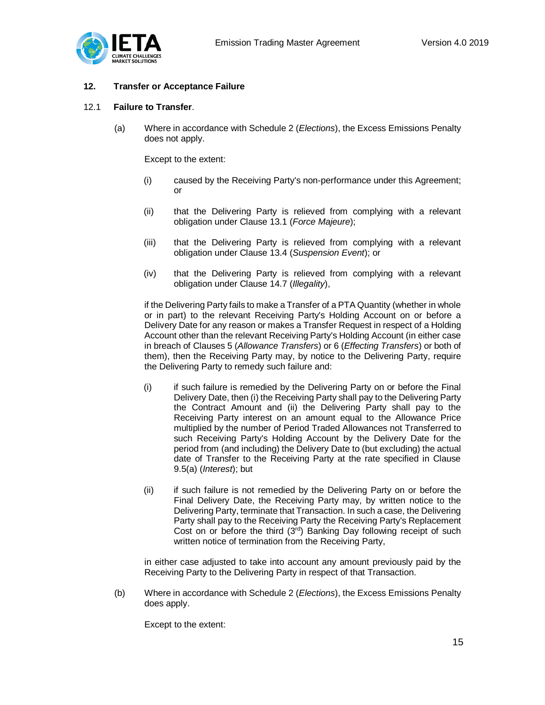



# <span id="page-18-0"></span>**12. Transfer or Acceptance Failure**

# <span id="page-18-3"></span><span id="page-18-1"></span>12.1 **Failure to Transfer**.

<span id="page-18-2"></span>(a) Where in accordance with Schedule 2 (*Elections*), the Excess Emissions Penalty does not apply.

Except to the extent:

- (i) caused by the Receiving Party's non-performance under this Agreement; or
- (ii) that the Delivering Party is relieved from complying with a relevant obligation under Clause [13.1](#page-21-1) (*Force Majeure*);
- (iii) that the Delivering Party is relieved from complying with a relevant obligation under Clause [13.4](#page-22-0) (*Suspension Event*); or
- (iv) that the Delivering Party is relieved from complying with a relevant obligation under Clause [14.7](#page-29-0) (*Illegality*),

if the Delivering Party fails to make a Transfer of a PTA Quantity (whether in whole or in part) to the relevant Receiving Party's Holding Account on or before a Delivery Date for any reason or makes a Transfer Request in respect of a Holding Account other than the relevant Receiving Party's Holding Account (in either case in breach of Clause[s 5](#page-9-0) (*Allowance Transfers*) or [6](#page-11-0) (*Effecting Transfers*) or both of them), then the Receiving Party may, by notice to the Delivering Party, require the Delivering Party to remedy such failure and:

- (i) if such failure is remedied by the Delivering Party on or before the Final Delivery Date, then (i) the Receiving Party shall pay to the Delivering Party the Contract Amount and (ii) the Delivering Party shall pay to the Receiving Party interest on an amount equal to the Allowance Price multiplied by the number of Period Traded Allowances not Transferred to such Receiving Party's Holding Account by the Delivery Date for the period from (and including) the Delivery Date to (but excluding) the actual date of Transfer to the Receiving Party at the rate specified in Clause [9.5\(a\)](#page-15-4) (*Interest*); but
- (ii) if such failure is not remedied by the Delivering Party on or before the Final Delivery Date, the Receiving Party may, by written notice to the Delivering Party, terminate that Transaction. In such a case, the Delivering Party shall pay to the Receiving Party the Receiving Party's Replacement Cost on or before the third  $(3<sup>rd</sup>)$  Banking Day following receipt of such written notice of termination from the Receiving Party,

in either case adjusted to take into account any amount previously paid by the Receiving Party to the Delivering Party in respect of that Transaction.

(b) Where in accordance with Schedule 2 (*Elections*), the Excess Emissions Penalty does apply.

Except to the extent: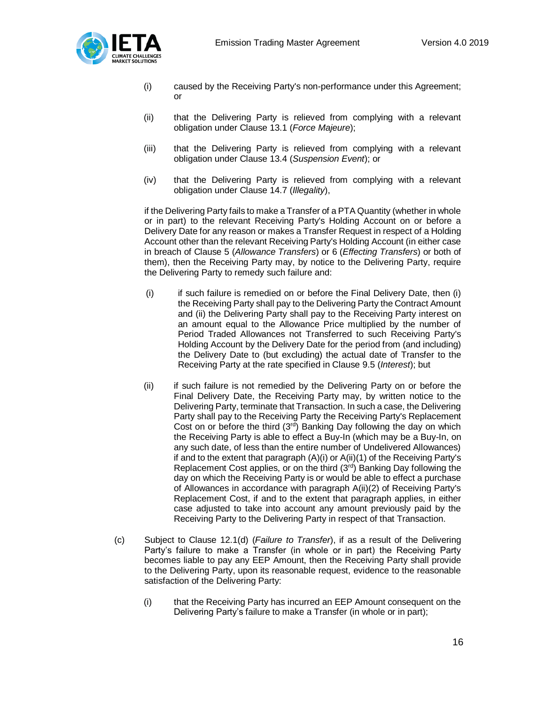

- (i) caused by the Receiving Party's non-performance under this Agreement; or
- <span id="page-19-0"></span>(ii) that the Delivering Party is relieved from complying with a relevant obligation under Clause [13.1](#page-21-1) (*Force Majeure*);
- <span id="page-19-1"></span>(iii) that the Delivering Party is relieved from complying with a relevant obligation under Clause [13.4](#page-22-0) (*Suspension Event*); or
- (iv) that the Delivering Party is relieved from complying with a relevant obligation under Clause [14.7](#page-29-0) (*Illegality*),

<span id="page-19-2"></span>if the Delivering Party fails to make a Transfer of a PTA Quantity (whether in whole or in part) to the relevant Receiving Party's Holding Account on or before a Delivery Date for any reason or makes a Transfer Request in respect of a Holding Account other than the relevant Receiving Party's Holding Account (in either case in breach of Clause [5](#page-9-0) (*Allowance Transfers*) or [6](#page-11-0) (*Effecting Transfers*) or both of them), then the Receiving Party may, by notice to the Delivering Party, require the Delivering Party to remedy such failure and:

- (i) if such failure is remedied on or before the Final Delivery Date, then (i) the Receiving Party shall pay to the Delivering Party the Contract Amount and (ii) the Delivering Party shall pay to the Receiving Party interest on an amount equal to the Allowance Price multiplied by the number of Period Traded Allowances not Transferred to such Receiving Party's Holding Account by the Delivery Date for the period from (and including) the Delivery Date to (but excluding) the actual date of Transfer to the Receiving Party at the rate specified in Clause [9.5](#page-15-0) (*Interest*); but
- (ii) if such failure is not remedied by the Delivering Party on or before the Final Delivery Date, the Receiving Party may, by written notice to the Delivering Party, terminate that Transaction. In such a case, the Delivering Party shall pay to the Receiving Party the Receiving Party's Replacement Cost on or before the third  $(3<sup>rd</sup>)$  Banking Day following the day on which the Receiving Party is able to effect a Buy-In (which may be a Buy-In, on any such date, of less than the entire number of Undelivered Allowances) if and to the extent that paragraph (A)(i) or A(ii)(1) of the Receiving Party's Replacement Cost applies, or on the third (3rd) Banking Day following the day on which the Receiving Party is or would be able to effect a purchase of Allowances in accordance with paragraph A(ii)(2) of Receiving Party's Replacement Cost, if and to the extent that paragraph applies, in either case adjusted to take into account any amount previously paid by the Receiving Party to the Delivering Party in respect of that Transaction.
- (c) Subject to Clause [12.1\(d\)](#page-20-0) (*Failure to Transfer*), if as a result of the Delivering Party's failure to make a Transfer (in whole or in part) the Receiving Party becomes liable to pay any EEP Amount, then the Receiving Party shall provide to the Delivering Party, upon its reasonable request, evidence to the reasonable satisfaction of the Delivering Party:
	- (i) that the Receiving Party has incurred an EEP Amount consequent on the Delivering Party's failure to make a Transfer (in whole or in part);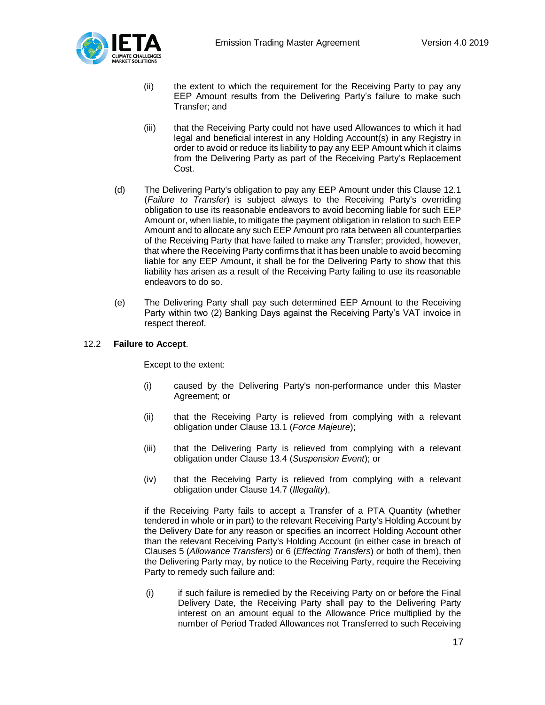- (ii) the extent to which the requirement for the Receiving Party to pay any EEP Amount results from the Delivering Party's failure to make such Transfer; and
- (iii) that the Receiving Party could not have used Allowances to which it had legal and beneficial interest in any Holding Account(s) in any Registry in order to avoid or reduce its liability to pay any EEP Amount which it claims from the Delivering Party as part of the Receiving Party's Replacement Cost.
- <span id="page-20-0"></span>(d) The Delivering Party's obligation to pay any EEP Amount under this Clause [12.1](#page-18-1) (*Failure to Transfer*) is subject always to the Receiving Party's overriding obligation to use its reasonable endeavors to avoid becoming liable for such EEP Amount or, when liable, to mitigate the payment obligation in relation to such EEP Amount and to allocate any such EEP Amount pro rata between all counterparties of the Receiving Party that have failed to make any Transfer; provided, however, that where the Receiving Party confirms that it has been unable to avoid becoming liable for any EEP Amount, it shall be for the Delivering Party to show that this liability has arisen as a result of the Receiving Party failing to use its reasonable endeavors to do so.
- (e) The Delivering Party shall pay such determined EEP Amount to the Receiving Party within two (2) Banking Days against the Receiving Party's VAT invoice in respect thereof.

# <span id="page-20-2"></span><span id="page-20-1"></span>12.2 **Failure to Accept**.

Except to the extent:

- (i) caused by the Delivering Party's non-performance under this Master Agreement; or
- (ii) that the Receiving Party is relieved from complying with a relevant obligation under Clause [13.1](#page-21-1) (*Force Majeure*);
- (iii) that the Delivering Party is relieved from complying with a relevant obligation under Clause [13.4](#page-22-0) (*Suspension Event*); or
- (iv) that the Receiving Party is relieved from complying with a relevant obligation under Clause [14.7](#page-29-0) (*Illegality*),

if the Receiving Party fails to accept a Transfer of a PTA Quantity (whether tendered in whole or in part) to the relevant Receiving Party's Holding Account by the Delivery Date for any reason or specifies an incorrect Holding Account other than the relevant Receiving Party's Holding Account (in either case in breach of Clauses [5](#page-9-0) (*Allowance Transfers*) or [6](#page-11-0) (*Effecting Transfers*) or both of them), then the Delivering Party may, by notice to the Receiving Party, require the Receiving Party to remedy such failure and:

(i) if such failure is remedied by the Receiving Party on or before the Final Delivery Date, the Receiving Party shall pay to the Delivering Party interest on an amount equal to the Allowance Price multiplied by the number of Period Traded Allowances not Transferred to such Receiving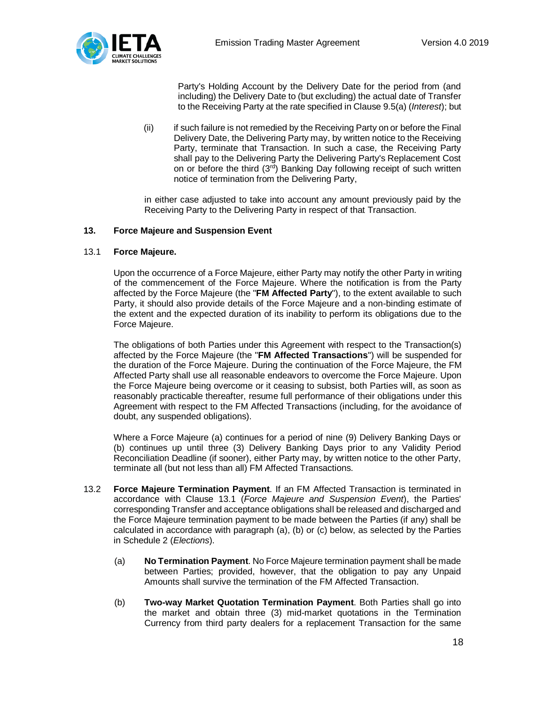

Party's Holding Account by the Delivery Date for the period from (and including) the Delivery Date to (but excluding) the actual date of Transfer to the Receiving Party at the rate specified in Claus[e 9.5\(a\)](#page-15-4) (*Interest*); but

(ii) if such failure is not remedied by the Receiving Party on or before the Final Delivery Date, the Delivering Party may, by written notice to the Receiving Party, terminate that Transaction. In such a case, the Receiving Party shall pay to the Delivering Party the Delivering Party's Replacement Cost on or before the third (3<sup>rd</sup>) Banking Day following receipt of such written notice of termination from the Delivering Party,

in either case adjusted to take into account any amount previously paid by the Receiving Party to the Delivering Party in respect of that Transaction.

# <span id="page-21-0"></span>**13. Force Majeure and Suspension Event**

# <span id="page-21-6"></span><span id="page-21-1"></span>13.1 **Force Majeure.**

<span id="page-21-5"></span>Upon the occurrence of a Force Majeure, either Party may notify the other Party in writing of the commencement of the Force Majeure. Where the notification is from the Party affected by the Force Majeure (the "**FM Affected Party**"), to the extent available to such Party, it should also provide details of the Force Majeure and a non-binding estimate of the extent and the expected duration of its inability to perform its obligations due to the Force Majeure.

The obligations of both Parties under this Agreement with respect to the Transaction(s) affected by the Force Majeure (the "**FM Affected Transactions**") will be suspended for the duration of the Force Majeure. During the continuation of the Force Majeure, the FM Affected Party shall use all reasonable endeavors to overcome the Force Majeure. Upon the Force Majeure being overcome or it ceasing to subsist, both Parties will, as soon as reasonably practicable thereafter, resume full performance of their obligations under this Agreement with respect to the FM Affected Transactions (including, for the avoidance of doubt, any suspended obligations).

Where a Force Majeure (a) continues for a period of nine (9) Delivery Banking Days or (b) continues up until three (3) Delivery Banking Days prior to any Validity Period Reconciliation Deadline (if sooner), either Party may, by written notice to the other Party, terminate all (but not less than all) FM Affected Transactions.

- <span id="page-21-4"></span><span id="page-21-3"></span><span id="page-21-2"></span>13.2 **Force Majeure Termination Payment**. If an FM Affected Transaction is terminated in accordance with Clause [13.1](#page-21-1) (*Force Majeure and Suspension Event*), the Parties' corresponding Transfer and acceptance obligations shall be released and discharged and the Force Majeure termination payment to be made between the Parties (if any) shall be calculated in accordance with paragraph [\(a\),](#page-21-2) [\(b\)](#page-21-3) or [\(c\)](#page-22-1) below, as selected by the Parties in Schedule 2 (*Elections*).
	- (a) **No Termination Payment**. No Force Majeure termination payment shall be made between Parties; provided, however, that the obligation to pay any Unpaid Amounts shall survive the termination of the FM Affected Transaction.
	- (b) **Two-way Market Quotation Termination Payment**. Both Parties shall go into the market and obtain three (3) mid-market quotations in the Termination Currency from third party dealers for a replacement Transaction for the same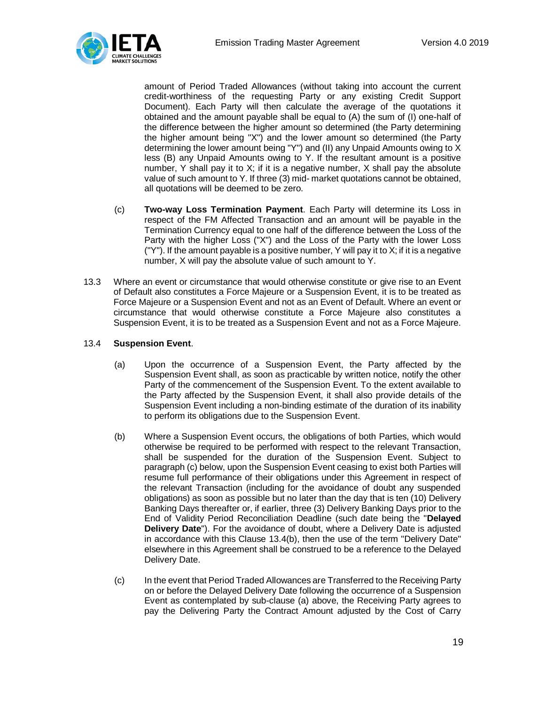

amount of Period Traded Allowances (without taking into account the current credit-worthiness of the requesting Party or any existing Credit Support Document). Each Party will then calculate the average of the quotations it obtained and the amount payable shall be equal to (A) the sum of (I) one-half of the difference between the higher amount so determined (the Party determining the higher amount being "X") and the lower amount so determined (the Party determining the lower amount being "Y") and (II) any Unpaid Amounts owing to X less (B) any Unpaid Amounts owing to Y. If the resultant amount is a positive number, Y shall pay it to  $X$ ; if it is a negative number,  $X$  shall pay the absolute value of such amount to Y. If three (3) mid- market quotations cannot be obtained, all quotations will be deemed to be zero.

- <span id="page-22-1"></span>(c) **Two-way Loss Termination Payment**. Each Party will determine its Loss in respect of the FM Affected Transaction and an amount will be payable in the Termination Currency equal to one half of the difference between the Loss of the Party with the higher Loss ("X") and the Loss of the Party with the lower Loss  $('Y")$ . If the amount payable is a positive number, Y will pay it to X; if it is a negative number, X will pay the absolute value of such amount to Y.
- <span id="page-22-6"></span>13.3 Where an event or circumstance that would otherwise constitute or give rise to an Event of Default also constitutes a Force Majeure or a Suspension Event, it is to be treated as Force Majeure or a Suspension Event and not as an Event of Default. Where an event or circumstance that would otherwise constitute a Force Majeure also constitutes a Suspension Event, it is to be treated as a Suspension Event and not as a Force Majeure.

# <span id="page-22-4"></span><span id="page-22-3"></span><span id="page-22-0"></span>13.4 **Suspension Event**.

- (a) Upon the occurrence of a Suspension Event, the Party affected by the Suspension Event shall, as soon as practicable by written notice, notify the other Party of the commencement of the Suspension Event. To the extent available to the Party affected by the Suspension Event, it shall also provide details of the Suspension Event including a non-binding estimate of the duration of its inability to perform its obligations due to the Suspension Event.
- <span id="page-22-5"></span><span id="page-22-2"></span>(b) Where a Suspension Event occurs, the obligations of both Parties, which would otherwise be required to be performed with respect to the relevant Transaction, shall be suspended for the duration of the Suspension Event. Subject to paragraph (c) below, upon the Suspension Event ceasing to exist both Parties will resume full performance of their obligations under this Agreement in respect of the relevant Transaction (including for the avoidance of doubt any suspended obligations) as soon as possible but no later than the day that is ten (10) Delivery Banking Days thereafter or, if earlier, three (3) Delivery Banking Days prior to the End of Validity Period Reconciliation Deadline (such date being the "**Delayed Delivery Date**"). For the avoidance of doubt, where a Delivery Date is adjusted in accordance with this Clause [13.4](#page-22-0)[\(b\),](#page-22-2) then the use of the term "Delivery Date" elsewhere in this Agreement shall be construed to be a reference to the Delayed Delivery Date.
- (c) In the event that Period Traded Allowances are Transferred to the Receiving Party on or before the Delayed Delivery Date following the occurrence of a Suspension Event as contemplated by sub-clause [\(a\)](#page-22-3) above, the Receiving Party agrees to pay the Delivering Party the Contract Amount adjusted by the Cost of Carry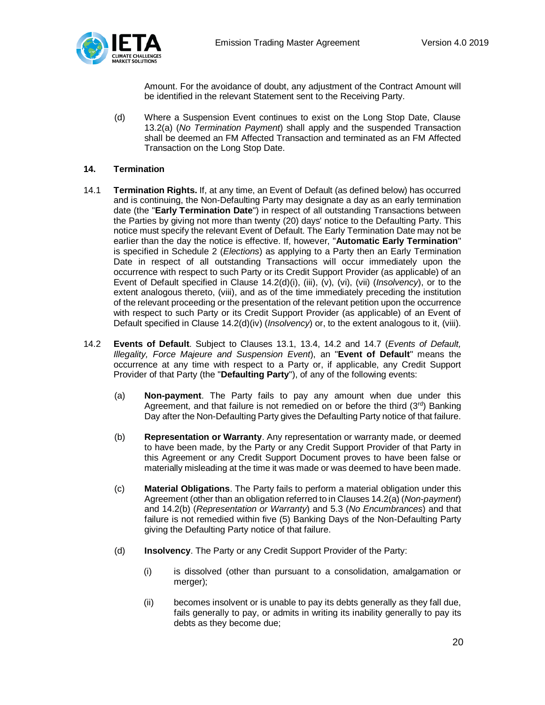

Amount. For the avoidance of doubt, any adjustment of the Contract Amount will be identified in the relevant Statement sent to the Receiving Party.

(d) Where a Suspension Event continues to exist on the Long Stop Date, Clause [13.2\(a\)](#page-21-2) (*No Termination Payment*) shall apply and the suspended Transaction shall be deemed an FM Affected Transaction and terminated as an FM Affected Transaction on the Long Stop Date.

# <span id="page-23-0"></span>**14. Termination**

- <span id="page-23-10"></span><span id="page-23-9"></span><span id="page-23-7"></span>14.1 **Termination Rights.** If, at any time, an Event of Default (as defined below) has occurred and is continuing, the Non-Defaulting Party may designate a day as an early termination date (the "**Early Termination Date**") in respect of all outstanding Transactions between the Parties by giving not more than twenty (20) days' notice to the Defaulting Party. This notice must specify the relevant Event of Default. The Early Termination Date may not be earlier than the day the notice is effective. If, however, "**Automatic Early Termination**" is specified in Schedule 2 (*Elections*) as applying to a Party then an Early Termination Date in respect of all outstanding Transactions will occur immediately upon the occurrence with respect to such Party or its Credit Support Provider (as applicable) of an Event of Default specified in Clause [14.2\(d\)\(i\),](#page-23-2) [\(iii\),](#page-24-0) [\(v\),](#page-24-1) [\(vi\),](#page-24-2) [\(vii\)](#page-24-3) (*Insolvency*), or to the extent analogous thereto, [\(viii\),](#page-24-4) and as of the time immediately preceding the institution of the relevant proceeding or the presentation of the relevant petition upon the occurrence with respect to such Party or its Credit Support Provider (as applicable) of an Event of Default specified in Clause [14.2\(d\)\(iv\)](#page-24-5) (*Insolvency*) or, to the extent analogous to it, [\(viii\).](#page-24-4)
- <span id="page-23-8"></span><span id="page-23-6"></span><span id="page-23-5"></span><span id="page-23-4"></span><span id="page-23-3"></span><span id="page-23-2"></span><span id="page-23-1"></span>14.2 **Events of Default**. Subject to Clauses [13.1,](#page-21-1) [13.4,](#page-22-0) [14.2](#page-23-3) and [14.7](#page-29-0) (*Events of Default, Illegality, Force Majeure and Suspension Event*), an "**Event of Default**" means the occurrence at any time with respect to a Party or, if applicable, any Credit Support Provider of that Party (the "**Defaulting Party**"), of any of the following events:
	- (a) **Non-payment**. The Party fails to pay any amount when due under this Agreement, and that failure is not remedied on or before the third  $(3<sup>rd</sup>)$  Banking Day after the Non-Defaulting Party gives the Defaulting Party notice of that failure.
	- (b) **Representation or Warranty**. Any representation or warranty made, or deemed to have been made, by the Party or any Credit Support Provider of that Party in this Agreement or any Credit Support Document proves to have been false or materially misleading at the time it was made or was deemed to have been made.
	- (c) **Material Obligations**. The Party fails to perform a material obligation under this Agreement (other than an obligation referred to in Clause[s 14.2\(a\)](#page-23-4) (*Non-payment*) and [14.2\(b\)](#page-23-5) (*Representation or Warranty*) and [5.3](#page-10-1) (*No Encumbrances*) and that failure is not remedied within five (5) Banking Days of the Non-Defaulting Party giving the Defaulting Party notice of that failure.
	- (d) **Insolvency**. The Party or any Credit Support Provider of the Party:
		- (i) is dissolved (other than pursuant to a consolidation, amalgamation or merger);
		- (ii) becomes insolvent or is unable to pay its debts generally as they fall due, fails generally to pay, or admits in writing its inability generally to pay its debts as they become due;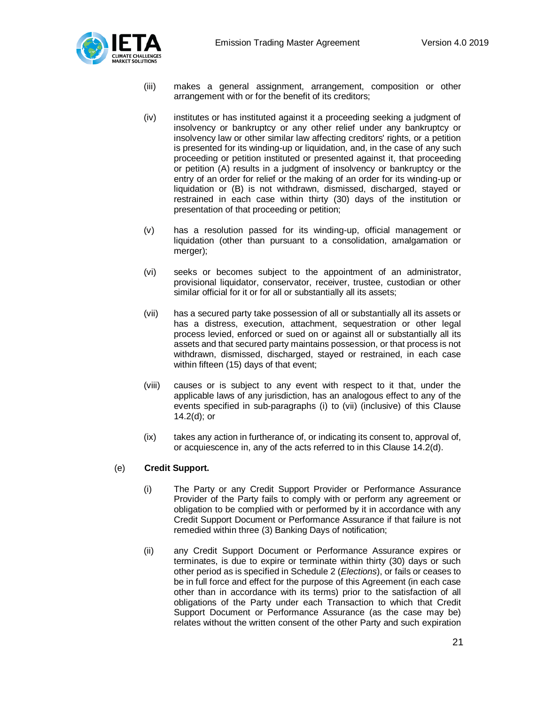<span id="page-24-0"></span>

- (iii) makes a general assignment, arrangement, composition or other arrangement with or for the benefit of its creditors;
- <span id="page-24-5"></span>(iv) institutes or has instituted against it a proceeding seeking a judgment of insolvency or bankruptcy or any other relief under any bankruptcy or insolvency law or other similar law affecting creditors' rights, or a petition is presented for its winding-up or liquidation, and, in the case of any such proceeding or petition instituted or presented against it, that proceeding or petition (A) results in a judgment of insolvency or bankruptcy or the entry of an order for relief or the making of an order for its winding-up or liquidation or (B) is not withdrawn, dismissed, discharged, stayed or restrained in each case within thirty (30) days of the institution or presentation of that proceeding or petition;
- <span id="page-24-1"></span>(v) has a resolution passed for its winding-up, official management or liquidation (other than pursuant to a consolidation, amalgamation or merger);
- <span id="page-24-2"></span>(vi) seeks or becomes subject to the appointment of an administrator, provisional liquidator, conservator, receiver, trustee, custodian or other similar official for it or for all or substantially all its assets;
- <span id="page-24-3"></span>(vii) has a secured party take possession of all or substantially all its assets or has a distress, execution, attachment, sequestration or other legal process levied, enforced or sued on or against all or substantially all its assets and that secured party maintains possession, or that process is not withdrawn, dismissed, discharged, stayed or restrained, in each case within fifteen (15) days of that event;
- <span id="page-24-4"></span>(viii) causes or is subject to any event with respect to it that, under the applicable laws of any jurisdiction, has an analogous effect to any of the events specified in sub-paragraphs (i) to (vii) (inclusive) of this Clause [14.2\(d\);](#page-23-6) or
- (ix) takes any action in furtherance of, or indicating its consent to, approval of, or acquiescence in, any of the acts referred to in this Clause [14.2\(d\).](#page-23-6)

# (e) **Credit Support.**

- (i) The Party or any Credit Support Provider or Performance Assurance Provider of the Party fails to comply with or perform any agreement or obligation to be complied with or performed by it in accordance with any Credit Support Document or Performance Assurance if that failure is not remedied within three (3) Banking Days of notification;
- (ii) any Credit Support Document or Performance Assurance expires or terminates, is due to expire or terminate within thirty (30) days or such other period as is specified in Schedule 2 (*Elections*), or fails or ceases to be in full force and effect for the purpose of this Agreement (in each case other than in accordance with its terms) prior to the satisfaction of all obligations of the Party under each Transaction to which that Credit Support Document or Performance Assurance (as the case may be) relates without the written consent of the other Party and such expiration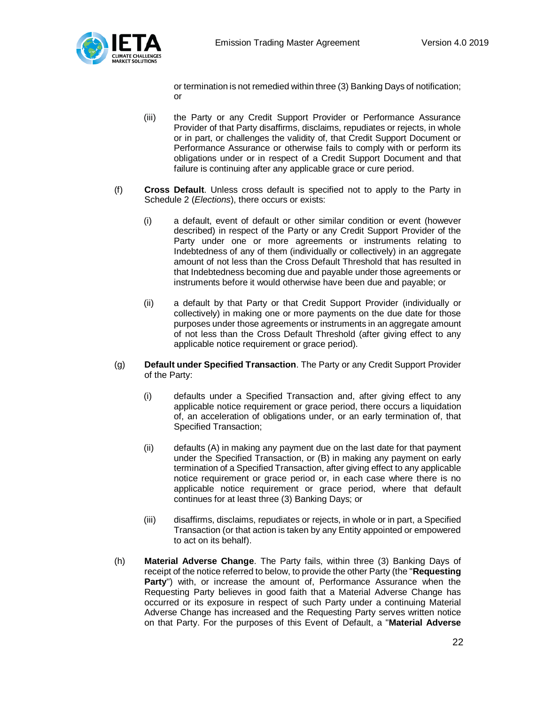

or termination is not remedied within three (3) Banking Days of notification; or

- (iii) the Party or any Credit Support Provider or Performance Assurance Provider of that Party disaffirms, disclaims, repudiates or rejects, in whole or in part, or challenges the validity of, that Credit Support Document or Performance Assurance or otherwise fails to comply with or perform its obligations under or in respect of a Credit Support Document and that failure is continuing after any applicable grace or cure period.
- (f) **Cross Default**. Unless cross default is specified not to apply to the Party in Schedule 2 (*Elections*), there occurs or exists:
	- (i) a default, event of default or other similar condition or event (however described) in respect of the Party or any Credit Support Provider of the Party under one or more agreements or instruments relating to Indebtedness of any of them (individually or collectively) in an aggregate amount of not less than the Cross Default Threshold that has resulted in that Indebtedness becoming due and payable under those agreements or instruments before it would otherwise have been due and payable; or
	- (ii) a default by that Party or that Credit Support Provider (individually or collectively) in making one or more payments on the due date for those purposes under those agreements or instruments in an aggregate amount of not less than the Cross Default Threshold (after giving effect to any applicable notice requirement or grace period).
- (g) **Default under Specified Transaction**. The Party or any Credit Support Provider of the Party:
	- (i) defaults under a Specified Transaction and, after giving effect to any applicable notice requirement or grace period, there occurs a liquidation of, an acceleration of obligations under, or an early termination of, that Specified Transaction;
	- (ii) defaults (A) in making any payment due on the last date for that payment under the Specified Transaction, or (B) in making any payment on early termination of a Specified Transaction, after giving effect to any applicable notice requirement or grace period or, in each case where there is no applicable notice requirement or grace period, where that default continues for at least three (3) Banking Days; or
	- (iii) disaffirms, disclaims, repudiates or rejects, in whole or in part, a Specified Transaction (or that action is taken by any Entity appointed or empowered to act on its behalf).
- <span id="page-25-0"></span>(h) **Material Adverse Change**. The Party fails, within three (3) Banking Days of receipt of the notice referred to below, to provide the other Party (the "**Requesting**  Party") with, or increase the amount of, Performance Assurance when the Requesting Party believes in good faith that a Material Adverse Change has occurred or its exposure in respect of such Party under a continuing Material Adverse Change has increased and the Requesting Party serves written notice on that Party. For the purposes of this Event of Default, a "**Material Adverse**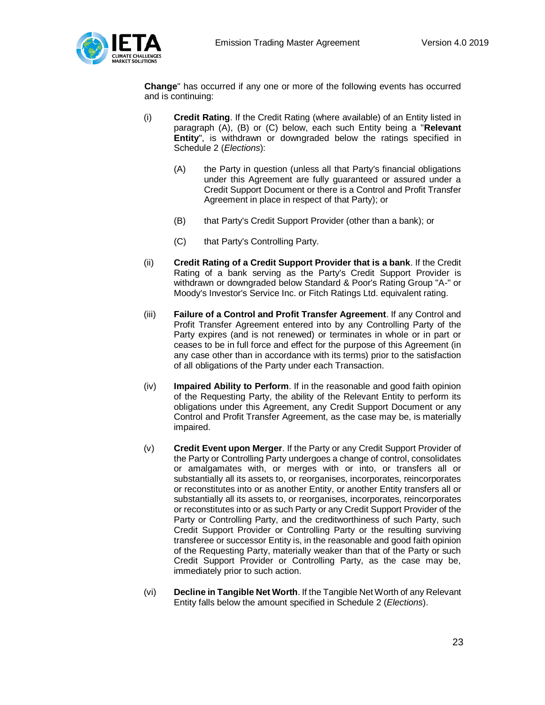

**Change**" has occurred if any one or more of the following events has occurred and is continuing:

- <span id="page-26-0"></span>(i) **Credit Rating**. If the Credit Rating (where available) of an Entity listed in paragraph (A), (B) or (C) below, each such Entity being a "**Relevant Entity**", is withdrawn or downgraded below the ratings specified in Schedule 2 (*Elections*):
	- (A) the Party in question (unless all that Party's financial obligations under this Agreement are fully guaranteed or assured under a Credit Support Document or there is a Control and Profit Transfer Agreement in place in respect of that Party); or
	- (B) that Party's Credit Support Provider (other than a bank); or
	- (C) that Party's Controlling Party.
- (ii) **Credit Rating of a Credit Support Provider that is a bank**. If the Credit Rating of a bank serving as the Party's Credit Support Provider is withdrawn or downgraded below Standard & Poor's Rating Group "A-" or Moody's Investor's Service Inc. or Fitch Ratings Ltd. equivalent rating.
- (iii) **Failure of a Control and Profit Transfer Agreement**. If any Control and Profit Transfer Agreement entered into by any Controlling Party of the Party expires (and is not renewed) or terminates in whole or in part or ceases to be in full force and effect for the purpose of this Agreement (in any case other than in accordance with its terms) prior to the satisfaction of all obligations of the Party under each Transaction.
- (iv) **Impaired Ability to Perform**. If in the reasonable and good faith opinion of the Requesting Party, the ability of the Relevant Entity to perform its obligations under this Agreement, any Credit Support Document or any Control and Profit Transfer Agreement, as the case may be, is materially impaired.
- (v) **Credit Event upon Merger**. If the Party or any Credit Support Provider of the Party or Controlling Party undergoes a change of control, consolidates or amalgamates with, or merges with or into, or transfers all or substantially all its assets to, or reorganises, incorporates, reincorporates or reconstitutes into or as another Entity, or another Entity transfers all or substantially all its assets to, or reorganises, incorporates, reincorporates or reconstitutes into or as such Party or any Credit Support Provider of the Party or Controlling Party, and the creditworthiness of such Party, such Credit Support Provider or Controlling Party or the resulting surviving transferee or successor Entity is, in the reasonable and good faith opinion of the Requesting Party, materially weaker than that of the Party or such Credit Support Provider or Controlling Party, as the case may be, immediately prior to such action.
- (vi) **Decline in Tangible Net Worth**. If the Tangible Net Worth of any Relevant Entity falls below the amount specified in Schedule 2 (*Elections*).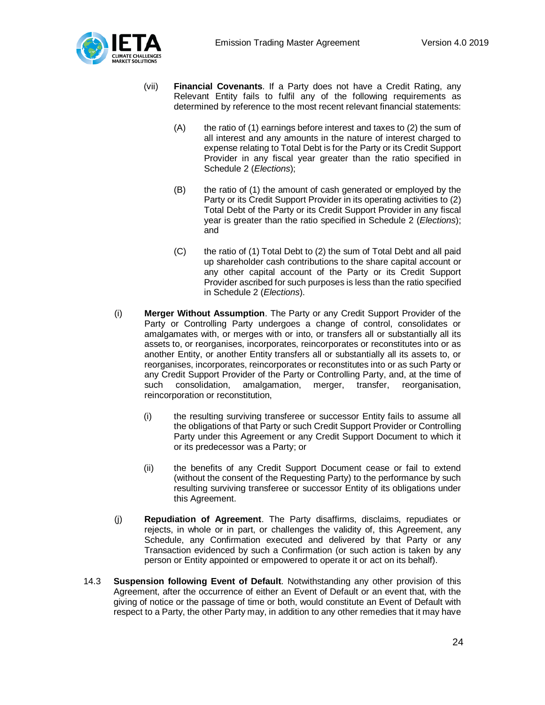

- (vii) **Financial Covenants**. If a Party does not have a Credit Rating, any Relevant Entity fails to fulfil any of the following requirements as determined by reference to the most recent relevant financial statements:
	- (A) the ratio of (1) earnings before interest and taxes to (2) the sum of all interest and any amounts in the nature of interest charged to expense relating to Total Debt is for the Party or its Credit Support Provider in any fiscal year greater than the ratio specified in Schedule 2 (*Elections*);
	- (B) the ratio of (1) the amount of cash generated or employed by the Party or its Credit Support Provider in its operating activities to (2) Total Debt of the Party or its Credit Support Provider in any fiscal year is greater than the ratio specified in Schedule 2 (*Elections*); and
	- (C) the ratio of (1) Total Debt to (2) the sum of Total Debt and all paid up shareholder cash contributions to the share capital account or any other capital account of the Party or its Credit Support Provider ascribed for such purposes is less than the ratio specified in Schedule 2 (*Elections*).
- (i) **Merger Without Assumption**. The Party or any Credit Support Provider of the Party or Controlling Party undergoes a change of control, consolidates or amalgamates with, or merges with or into, or transfers all or substantially all its assets to, or reorganises, incorporates, reincorporates or reconstitutes into or as another Entity, or another Entity transfers all or substantially all its assets to, or reorganises, incorporates, reincorporates or reconstitutes into or as such Party or any Credit Support Provider of the Party or Controlling Party, and, at the time of such consolidation, amalgamation, merger, transfer, reorganisation, reincorporation or reconstitution,
	- (i) the resulting surviving transferee or successor Entity fails to assume all the obligations of that Party or such Credit Support Provider or Controlling Party under this Agreement or any Credit Support Document to which it or its predecessor was a Party; or
	- (ii) the benefits of any Credit Support Document cease or fail to extend (without the consent of the Requesting Party) to the performance by such resulting surviving transferee or successor Entity of its obligations under this Agreement.
- (j) **Repudiation of Agreement**. The Party disaffirms, disclaims, repudiates or rejects, in whole or in part, or challenges the validity of, this Agreement, any Schedule, any Confirmation executed and delivered by that Party or any Transaction evidenced by such a Confirmation (or such action is taken by any person or Entity appointed or empowered to operate it or act on its behalf).
- <span id="page-27-1"></span><span id="page-27-0"></span>14.3 **Suspension following Event of Default**. Notwithstanding any other provision of this Agreement, after the occurrence of either an Event of Default or an event that, with the giving of notice or the passage of time or both, would constitute an Event of Default with respect to a Party, the other Party may, in addition to any other remedies that it may have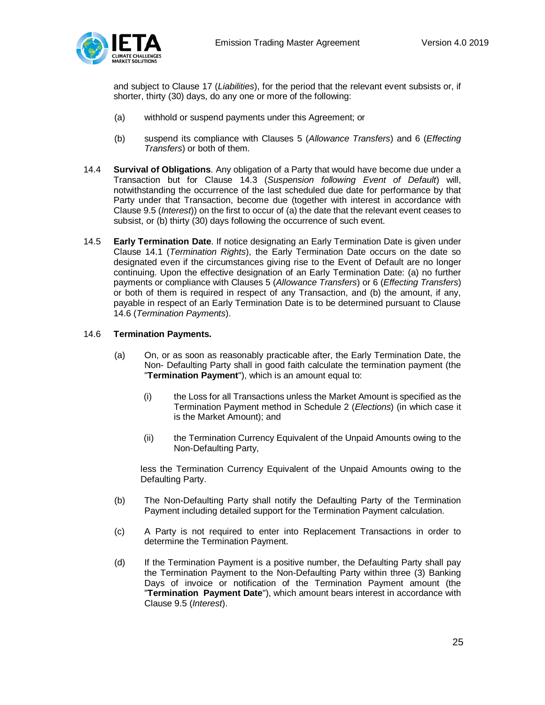

and subject to Clause [17](#page-32-0) (*Liabilities*), for the period that the relevant event subsists or, if shorter, thirty (30) days, do any one or more of the following:

- (a) withhold or suspend payments under this Agreement; or
- (b) suspend its compliance with Clauses [5](#page-9-0) (*Allowance Transfers*) and [6](#page-11-0) (*Effecting Transfers*) or both of them.
- 14.4 **Survival of Obligations**. Any obligation of a Party that would have become due under a Transaction but for Clause [14.3](#page-27-0) (*Suspension following Event of Default*) will, notwithstanding the occurrence of the last scheduled due date for performance by that Party under that Transaction, become due (together with interest in accordance with Clause [9.5](#page-15-0) (*Interest*)) on the first to occur of (a) the date that the relevant event ceases to subsist, or (b) thirty (30) days following the occurrence of such event.
- <span id="page-28-3"></span><span id="page-28-1"></span>14.5 **Early Termination Date**. If notice designating an Early Termination Date is given under Clause [14.1](#page-23-7) (*Termination Rights*), the Early Termination Date occurs on the date so designated even if the circumstances giving rise to the Event of Default are no longer continuing. Upon the effective designation of an Early Termination Date: (a) no further payments or compliance with Clauses [5](#page-9-0) (*Allowance Transfers*) or [6](#page-11-0) (*Effecting Transfers*) or both of them is required in respect of any Transaction, and (b) the amount, if any, payable in respect of an Early Termination Date is to be determined pursuant to Clause [14.6](#page-28-0) (*Termination Payments*).

# <span id="page-28-2"></span><span id="page-28-0"></span>14.6 **Termination Payments.**

- <span id="page-28-5"></span>(a) On, or as soon as reasonably practicable after, the Early Termination Date, the Non- Defaulting Party shall in good faith calculate the termination payment (the "**Termination Payment**"), which is an amount equal to:
	- (i) the Loss for all Transactions unless the Market Amount is specified as the Termination Payment method in Schedule 2 (*Elections*) (in which case it is the Market Amount); and
	- (ii) the Termination Currency Equivalent of the Unpaid Amounts owing to the Non-Defaulting Party,

less the Termination Currency Equivalent of the Unpaid Amounts owing to the Defaulting Party.

- (b) The Non-Defaulting Party shall notify the Defaulting Party of the Termination Payment including detailed support for the Termination Payment calculation.
- (c) A Party is not required to enter into Replacement Transactions in order to determine the Termination Payment.
- <span id="page-28-4"></span>(d) If the Termination Payment is a positive number, the Defaulting Party shall pay the Termination Payment to the Non-Defaulting Party within three (3) Banking Days of invoice or notification of the Termination Payment amount (the "**Termination Payment Date**"), which amount bears interest in accordance with Clause [9.5](#page-15-0) (*Interest*).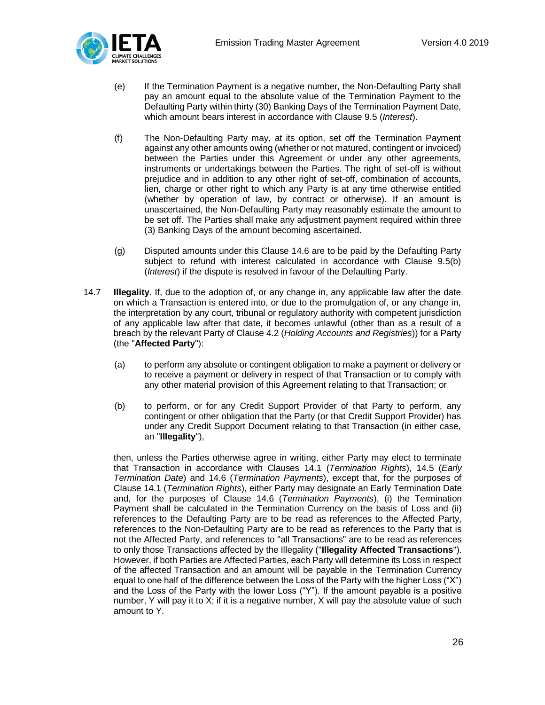



- (e) If the Termination Payment is a negative number, the Non-Defaulting Party shall pay an amount equal to the absolute value of the Termination Payment to the Defaulting Party within thirty (30) Banking Days of the Termination Payment Date, which amount bears interest in accordance with Claus[e 9.5](#page-15-0) (*Interest*).
- (f) The Non-Defaulting Party may, at its option, set off the Termination Payment against any other amounts owing (whether or not matured, contingent or invoiced) between the Parties under this Agreement or under any other agreements, instruments or undertakings between the Parties. The right of set-off is without prejudice and in addition to any other right of set-off, combination of accounts, lien, charge or other right to which any Party is at any time otherwise entitled (whether by operation of law, by contract or otherwise). If an amount is unascertained, the Non-Defaulting Party may reasonably estimate the amount to be set off. The Parties shall make any adjustment payment required within three (3) Banking Days of the amount becoming ascertained.
- (g) Disputed amounts under this Clause [14.6](#page-28-0) are to be paid by the Defaulting Party subject to refund with interest calculated in accordance with Clause [9.5\(b\)](#page-15-5) (*Interest*) if the dispute is resolved in favour of the Defaulting Party.
- <span id="page-29-1"></span><span id="page-29-0"></span>14.7 **Illegality**. If, due to the adoption of, or any change in, any applicable law after the date on which a Transaction is entered into, or due to the promulgation of, or any change in, the interpretation by any court, tribunal or regulatory authority with competent jurisdiction of any applicable law after that date, it becomes unlawful (other than as a result of a breach by the relevant Party of Clause [4.2](#page-8-1) (*Holding Accounts and Registries*)) for a Party (the "**Affected Party**"):
	- (a) to perform any absolute or contingent obligation to make a payment or delivery or to receive a payment or delivery in respect of that Transaction or to comply with any other material provision of this Agreement relating to that Transaction; or
	- (b) to perform, or for any Credit Support Provider of that Party to perform, any contingent or other obligation that the Party (or that Credit Support Provider) has under any Credit Support Document relating to that Transaction (in either case, an "**Illegality**"),

then, unless the Parties otherwise agree in writing, either Party may elect to terminate that Transaction in accordance with Clauses [14.1](#page-23-7) (*Termination Rights*), [14.5](#page-28-1) (*Early Termination Date*) and [14.6](#page-28-0) (*Termination Payments*), except that, for the purposes of Clause [14.1](#page-23-7) (*Termination Rights*), either Party may designate an Early Termination Date and, for the purposes of Clause [14.6](#page-28-0) (*Termination Payments*), (i) the Termination Payment shall be calculated in the Termination Currency on the basis of Loss and (ii) references to the Defaulting Party are to be read as references to the Affected Party, references to the Non-Defaulting Party are to be read as references to the Party that is not the Affected Party, and references to "all Transactions" are to be read as references to only those Transactions affected by the Illegality ("**Illegality Affected Transactions**"). However, if both Parties are Affected Parties, each Party will determine its Loss in respect of the affected Transaction and an amount will be payable in the Termination Currency equal to one half of the difference between the Loss of the Party with the higher Loss ("X") and the Loss of the Party with the lower Loss ("Y"). If the amount payable is a positive number, Y will pay it to X; if it is a negative number, X will pay the absolute value of such amount to Y.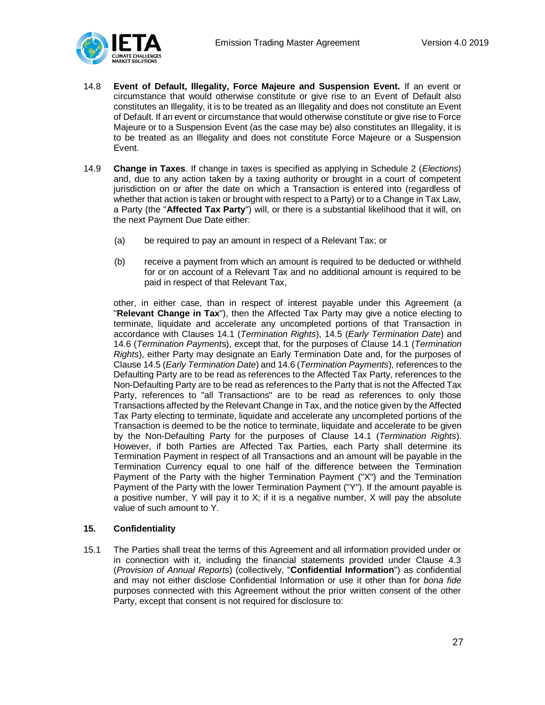

- 14.8 **Event of Default, Illegality, Force Majeure and Suspension Event.** If an event or circumstance that would otherwise constitute or give rise to an Event of Default also constitutes an Illegality, it is to be treated as an Illegality and does not constitute an Event of Default. If an event or circumstance that would otherwise constitute or give rise to Force Majeure or to a Suspension Event (as the case may be) also constitutes an Illegality, it is to be treated as an Illegality and does not constitute Force Majeure or a Suspension Event.
- <span id="page-30-1"></span>14.9 **Change in Taxes**. If change in taxes is specified as applying in Schedule 2 (*Elections*) and, due to any action taken by a taxing authority or brought in a court of competent jurisdiction on or after the date on which a Transaction is entered into (regardless of whether that action is taken or brought with respect to a Party) or to a Change in Tax Law, a Party (the "**Affected Tax Party**") will, or there is a substantial likelihood that it will, on the next Payment Due Date either:
	- (a) be required to pay an amount in respect of a Relevant Tax; or
	- (b) receive a payment from which an amount is required to be deducted or withheld for or on account of a Relevant Tax and no additional amount is required to be paid in respect of that Relevant Tax,

other, in either case, than in respect of interest payable under this Agreement (a "**Relevant Change in Tax**"), then the Affected Tax Party may give a notice electing to terminate, liquidate and accelerate any uncompleted portions of that Transaction in accordance with Clauses [14.1](#page-23-7) (*Termination Rights*), [14.5](#page-28-1) (*Early Termination Date*) and [14.6](#page-28-0) (*Termination Payment*s), except that, for the purposes of Clause [14.1](#page-23-7) (*Termination Rights*), either Party may designate an Early Termination Date and, for the purposes of Clause [14.5](#page-28-1) (*Early Termination Date*) and [14.6](#page-28-0) (*Termination Payments*), references to the Defaulting Party are to be read as references to the Affected Tax Party, references to the Non-Defaulting Party are to be read as references to the Party that is not the Affected Tax Party, references to "all Transactions" are to be read as references to only those Transactions affected by the Relevant Change in Tax, and the notice given by the Affected Tax Party electing to terminate, liquidate and accelerate any uncompleted portions of the Transaction is deemed to be the notice to terminate, liquidate and accelerate to be given by the Non-Defaulting Party for the purposes of Clause [14.1](#page-23-7) (*Termination Rights*). However, if both Parties are Affected Tax Parties, each Party shall determine its Termination Payment in respect of all Transactions and an amount will be payable in the Termination Currency equal to one half of the difference between the Termination Payment of the Party with the higher Termination Payment ("X") and the Termination Payment of the Party with the lower Termination Payment ("Y"). If the amount payable is a positive number, Y will pay it to X; if it is a negative number, X will pay the absolute value of such amount to Y.

#### <span id="page-30-0"></span>**15. Confidentiality**

<span id="page-30-2"></span>15.1 The Parties shall treat the terms of this Agreement and all information provided under or in connection with it, including the financial statements provided under Clause [4.3](#page-8-0) (*Provision of Annual Reports*) (collectively, "**Confidential Information**") as confidential and may not either disclose Confidential Information or use it other than for *bona fide*  purposes connected with this Agreement without the prior written consent of the other Party, except that consent is not required for disclosure to: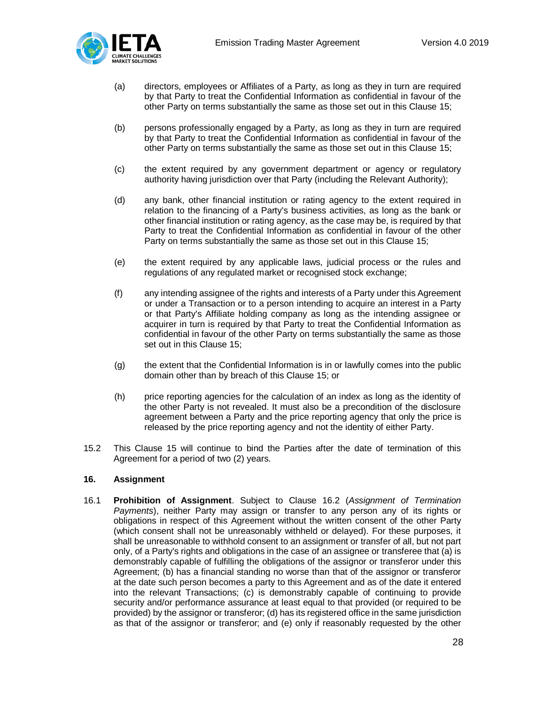

- (a) directors, employees or Affiliates of a Party, as long as they in turn are required by that Party to treat the Confidential Information as confidential in favour of the other Party on terms substantially the same as those set out in this Clause [15;](#page-30-0)
- (b) persons professionally engaged by a Party, as long as they in turn are required by that Party to treat the Confidential Information as confidential in favour of the other Party on terms substantially the same as those set out in this Clause [15;](#page-30-0)
- (c) the extent required by any government department or agency or regulatory authority having jurisdiction over that Party (including the Relevant Authority);
- (d) any bank, other financial institution or rating agency to the extent required in relation to the financing of a Party's business activities, as long as the bank or other financial institution or rating agency, as the case may be, is required by that Party to treat the Confidential Information as confidential in favour of the other Party on terms substantially the same as those set out in this Clause [15;](#page-30-0)
- (e) the extent required by any applicable laws, judicial process or the rules and regulations of any regulated market or recognised stock exchange;
- (f) any intending assignee of the rights and interests of a Party under this Agreement or under a Transaction or to a person intending to acquire an interest in a Party or that Party's Affiliate holding company as long as the intending assignee or acquirer in turn is required by that Party to treat the Confidential Information as confidential in favour of the other Party on terms substantially the same as those set out in this Clause [15;](#page-30-0)
- (g) the extent that the Confidential Information is in or lawfully comes into the public domain other than by breach of this Clause [15;](#page-30-0) or
- (h) price reporting agencies for the calculation of an index as long as the identity of the other Party is not revealed. It must also be a precondition of the disclosure agreement between a Party and the price reporting agency that only the price is released by the price reporting agency and not the identity of either Party.
- 15.2 This Clause [15](#page-30-0) will continue to bind the Parties after the date of termination of this Agreement for a period of two (2) years.

#### <span id="page-31-0"></span>**16. Assignment**

16.1 **Prohibition of Assignment**. Subject to Clause [16.2](#page-32-2) (*Assignment of Termination Payments*), neither Party may assign or transfer to any person any of its rights or obligations in respect of this Agreement without the written consent of the other Party (which consent shall not be unreasonably withheld or delayed). For these purposes, it shall be unreasonable to withhold consent to an assignment or transfer of all, but not part only, of a Party's rights and obligations in the case of an assignee or transferee that (a) is demonstrably capable of fulfilling the obligations of the assignor or transferor under this Agreement; (b) has a financial standing no worse than that of the assignor or transferor at the date such person becomes a party to this Agreement and as of the date it entered into the relevant Transactions; (c) is demonstrably capable of continuing to provide security and/or performance assurance at least equal to that provided (or required to be provided) by the assignor or transferor; (d) has its registered office in the same jurisdiction as that of the assignor or transferor; and (e) only if reasonably requested by the other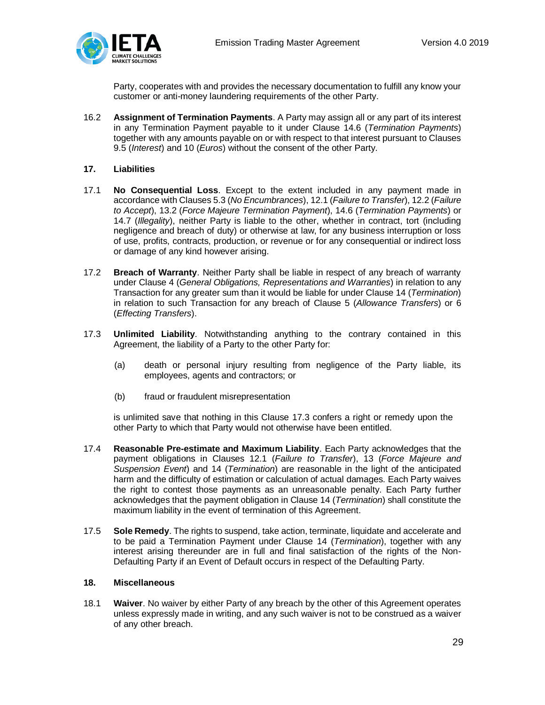

Party, cooperates with and provides the necessary documentation to fulfill any know your customer or anti-money laundering requirements of the other Party.

<span id="page-32-2"></span>16.2 **Assignment of Termination Payments**. A Party may assign all or any part of its interest in any Termination Payment payable to it under Clause [14.6](#page-28-0) (*Termination Payments*) together with any amounts payable on or with respect to that interest pursuant to Clauses [9.5](#page-15-0) (*Interest*) an[d 10](#page-16-0) (*Euros*) without the consent of the other Party.

# <span id="page-32-0"></span>**17. Liabilities**

- 17.1 **No Consequential Loss**. Except to the extent included in any payment made in accordance with Clauses [5.3](#page-10-1) (*No Encumbrances*), [12.1](#page-18-1) (*Failure to Transfer*)[, 12.2](#page-20-1) (*Failure to Accept*), [13.2](#page-21-4) (*Force Majeure Termination Payment*), [14.6](#page-28-0) (*Termination Payments*) or [14.7](#page-29-0) (*Illegality*), neither Party is liable to the other, whether in contract, tort (including negligence and breach of duty) or otherwise at law, for any business interruption or loss of use, profits, contracts, production, or revenue or for any consequential or indirect loss or damage of any kind however arising.
- 17.2 **Breach of Warranty**. Neither Party shall be liable in respect of any breach of warranty under Clause [4](#page-6-0) (*General Obligations, Representations and Warranties*) in relation to any Transaction for any greater sum than it would be liable for under Clause [14](#page-23-0) (*Termination*) in relation to such Transaction for any breach of Clause [5](#page-9-0) (*Allowance Transfers*) or [6](#page-11-0) (*Effecting Transfers*).
- <span id="page-32-3"></span>17.3 **Unlimited Liability**. Notwithstanding anything to the contrary contained in this Agreement, the liability of a Party to the other Party for:
	- (a) death or personal injury resulting from negligence of the Party liable, its employees, agents and contractors; or
	- (b) fraud or fraudulent misrepresentation

is unlimited save that nothing in this Clause [17.3](#page-32-3) confers a right or remedy upon the other Party to which that Party would not otherwise have been entitled.

- 17.4 **Reasonable Pre-estimate and Maximum Liability**. Each Party acknowledges that the payment obligations in Clauses [12.1](#page-18-1) (*Failure to Transfer*), [13](#page-21-0) (*Force Majeure and Suspension Event*) and [14](#page-23-0) (*Termination*) are reasonable in the light of the anticipated harm and the difficulty of estimation or calculation of actual damages. Each Party waives the right to contest those payments as an unreasonable penalty. Each Party further acknowledges that the payment obligation in Clause [14](#page-23-0) (*Termination*) shall constitute the maximum liability in the event of termination of this Agreement.
- 17.5 **Sole Remedy**. The rights to suspend, take action, terminate, liquidate and accelerate and to be paid a Termination Payment under Clause [14](#page-23-0) (*Termination*), together with any interest arising thereunder are in full and final satisfaction of the rights of the Non-Defaulting Party if an Event of Default occurs in respect of the Defaulting Party.

#### <span id="page-32-1"></span>**18. Miscellaneous**

18.1 **Waiver**. No waiver by either Party of any breach by the other of this Agreement operates unless expressly made in writing, and any such waiver is not to be construed as a waiver of any other breach.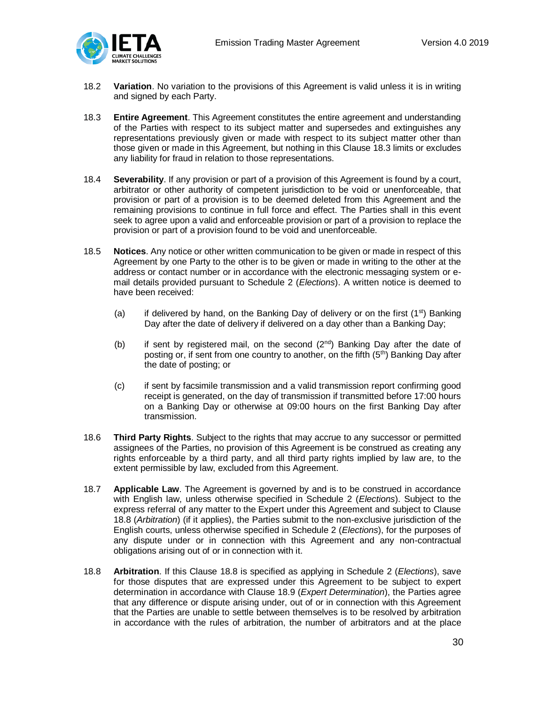

- 18.2 **Variation**. No variation to the provisions of this Agreement is valid unless it is in writing and signed by each Party.
- <span id="page-33-1"></span>18.3 **Entire Agreement**. This Agreement constitutes the entire agreement and understanding of the Parties with respect to its subject matter and supersedes and extinguishes any representations previously given or made with respect to its subject matter other than those given or made in this Agreement, but nothing in this Clause [18.3](#page-33-1) limits or excludes any liability for fraud in relation to those representations.
- 18.4 **Severability**. If any provision or part of a provision of this Agreement is found by a court, arbitrator or other authority of competent jurisdiction to be void or unenforceable, that provision or part of a provision is to be deemed deleted from this Agreement and the remaining provisions to continue in full force and effect. The Parties shall in this event seek to agree upon a valid and enforceable provision or part of a provision to replace the provision or part of a provision found to be void and unenforceable.
- <span id="page-33-0"></span>18.5 **Notices**. Any notice or other written communication to be given or made in respect of this Agreement by one Party to the other is to be given or made in writing to the other at the address or contact number or in accordance with the electronic messaging system or email details provided pursuant to Schedule 2 (*Elections*). A written notice is deemed to have been received:
	- (a) if delivered by hand, on the Banking Day of delivery or on the first  $(1<sup>st</sup>)$  Banking Day after the date of delivery if delivered on a day other than a Banking Day;
	- (b) if sent by registered mail, on the second  $(2^{nd})$  Banking Day after the date of posting or, if sent from one country to another, on the fifth (5th) Banking Day after the date of posting; or
	- (c) if sent by facsimile transmission and a valid transmission report confirming good receipt is generated, on the day of transmission if transmitted before 17:00 hours on a Banking Day or otherwise at 09:00 hours on the first Banking Day after transmission.
- 18.6 **Third Party Rights**. Subject to the rights that may accrue to any successor or permitted assignees of the Parties, no provision of this Agreement is be construed as creating any rights enforceable by a third party, and all third party rights implied by law are, to the extent permissible by law, excluded from this Agreement.
- <span id="page-33-3"></span>18.7 **Applicable Law**. The Agreement is governed by and is to be construed in accordance with English law, unless otherwise specified in Schedule 2 (*Elections*). Subject to the express referral of any matter to the Expert under this Agreement and subject to Clause [18.8](#page-33-2) (*Arbitration*) (if it applies), the Parties submit to the non-exclusive jurisdiction of the English courts, unless otherwise specified in Schedule 2 (*Elections*), for the purposes of any dispute under or in connection with this Agreement and any non-contractual obligations arising out of or in connection with it.
- <span id="page-33-2"></span>18.8 **Arbitration**. If this Clause [18.8](#page-33-2) is specified as applying in Schedule 2 (*Elections*), save for those disputes that are expressed under this Agreement to be subject to expert determination in accordance with Clause [18.9](#page-34-0) (*Expert Determination*), the Parties agree that any difference or dispute arising under, out of or in connection with this Agreement that the Parties are unable to settle between themselves is to be resolved by arbitration in accordance with the rules of arbitration, the number of arbitrators and at the place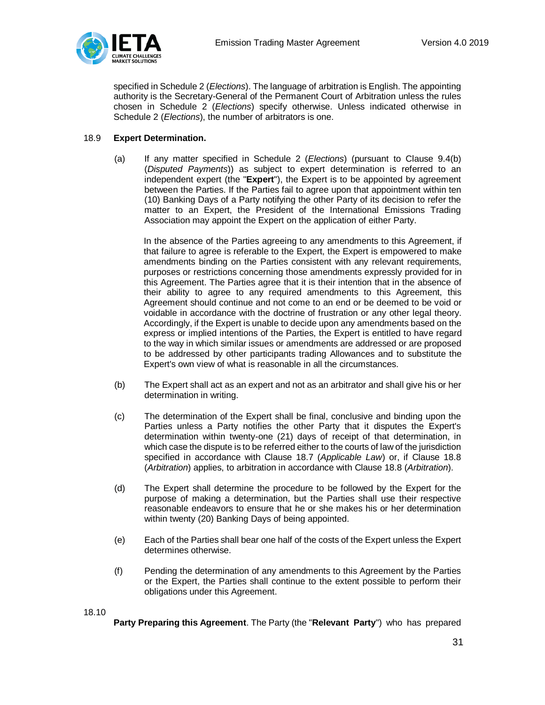

specified in Schedule 2 (*Elections*). The language of arbitration is English. The appointing authority is the Secretary-General of the Permanent Court of Arbitration unless the rules chosen in Schedule 2 (*Elections*) specify otherwise. Unless indicated otherwise in Schedule 2 (*Elections*), the number of arbitrators is one.

# <span id="page-34-0"></span>18.9 **Expert Determination.**

<span id="page-34-1"></span>(a) If any matter specified in Schedule 2 (*Elections*) (pursuant to Clause [9.4\(b\)](#page-15-6) (*Disputed Payments*)) as subject to expert determination is referred to an independent expert (the "**Expert**"), the Expert is to be appointed by agreement between the Parties. If the Parties fail to agree upon that appointment within ten (10) Banking Days of a Party notifying the other Party of its decision to refer the matter to an Expert, the President of the International Emissions Trading Association may appoint the Expert on the application of either Party.

In the absence of the Parties agreeing to any amendments to this Agreement, if that failure to agree is referable to the Expert, the Expert is empowered to make amendments binding on the Parties consistent with any relevant requirements, purposes or restrictions concerning those amendments expressly provided for in this Agreement. The Parties agree that it is their intention that in the absence of their ability to agree to any required amendments to this Agreement, this Agreement should continue and not come to an end or be deemed to be void or voidable in accordance with the doctrine of frustration or any other legal theory. Accordingly, if the Expert is unable to decide upon any amendments based on the express or implied intentions of the Parties, the Expert is entitled to have regard to the way in which similar issues or amendments are addressed or are proposed to be addressed by other participants trading Allowances and to substitute the Expert's own view of what is reasonable in all the circumstances.

- (b) The Expert shall act as an expert and not as an arbitrator and shall give his or her determination in writing.
- (c) The determination of the Expert shall be final, conclusive and binding upon the Parties unless a Party notifies the other Party that it disputes the Expert's determination within twenty-one (21) days of receipt of that determination, in which case the dispute is to be referred either to the courts of law of the jurisdiction specified in accordance with Clause [18.7](#page-33-3) (*Applicable Law*) or, if Clause [18.8](#page-33-2) (*Arbitration*) applies, to arbitration in accordance with Clause [18.8](#page-33-2) (*Arbitration*).
- (d) The Expert shall determine the procedure to be followed by the Expert for the purpose of making a determination, but the Parties shall use their respective reasonable endeavors to ensure that he or she makes his or her determination within twenty (20) Banking Days of being appointed.
- (e) Each of the Parties shall bear one half of the costs of the Expert unless the Expert determines otherwise.
- (f) Pending the determination of any amendments to this Agreement by the Parties or the Expert, the Parties shall continue to the extent possible to perform their obligations under this Agreement.

18.10

**Party Preparing this Agreement**. The Party (the "**Relevant Party**") who has prepared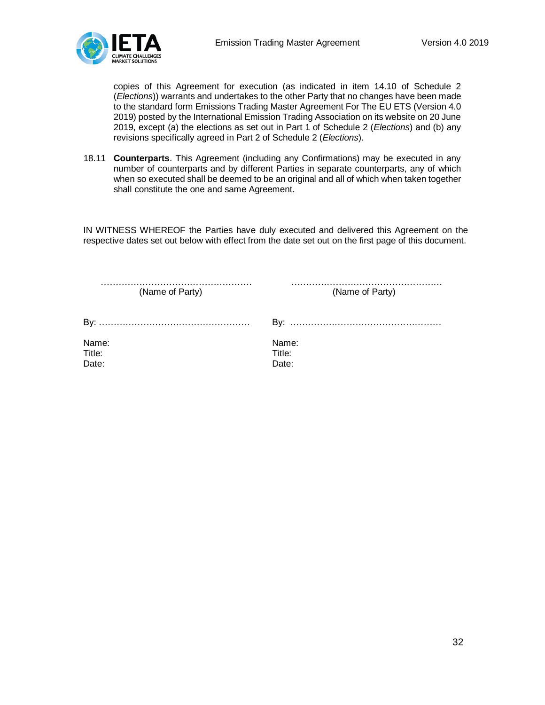

copies of this Agreement for execution (as indicated in item 14.10 of Schedule 2 (*Elections*)) warrants and undertakes to the other Party that no changes have been made to the standard form Emissions Trading Master Agreement For The EU ETS (Version 4.0 2019) posted by the International Emission Trading Association on its website on 20 June 2019, except (a) the elections as set out in Part 1 of Schedule 2 (*Elections*) and (b) any revisions specifically agreed in Part 2 of Schedule 2 (*Elections*).

18.11 **Counterparts**. This Agreement (including any Confirmations) may be executed in any number of counterparts and by different Parties in separate counterparts, any of which when so executed shall be deemed to be an original and all of which when taken together shall constitute the one and same Agreement.

IN WITNESS WHEREOF the Parties have duly executed and delivered this Agreement on the respective dates set out below with effect from the date set out on the first page of this document.

| (Name of Party) | (Name of Party) |
|-----------------|-----------------|
|                 |                 |
| Name:           | Name:           |
| Title:          | Title:          |
| Date:           | Date:           |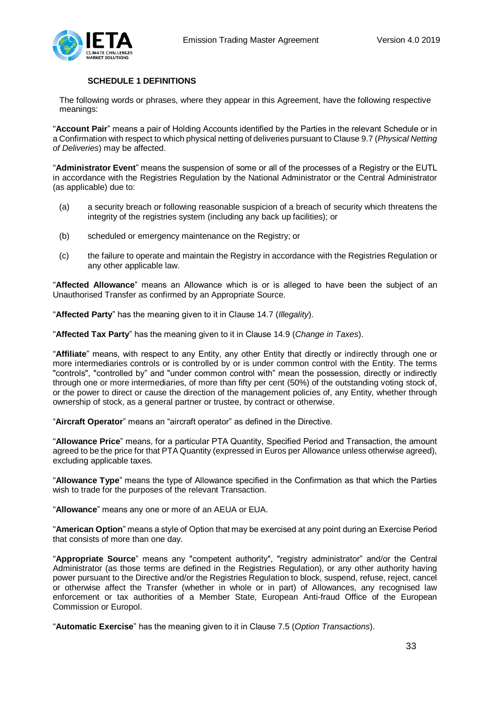<span id="page-36-0"></span>

# **SCHEDULE 1 DEFINITIONS**

The following words or phrases, where they appear in this Agreement, have the following respective meanings:

"**Account Pair**" means a pair of Holding Accounts identified by the Parties in the relevant Schedule or in a Confirmation with respect to which physical netting of deliveries pursuant to Clause [9.7](#page-16-2) (*Physical Netting of Deliveries*) may be affected.

"**Administrator Event**" means the suspension of some or all of the processes of a Registry or the EUTL in accordance with the Registries Regulation by the National Administrator or the Central Administrator (as applicable) due to:

- (a) a security breach or following reasonable suspicion of a breach of security which threatens the integrity of the registries system (including any back up facilities); or
- (b) scheduled or emergency maintenance on the Registry; or
- (c) the failure to operate and maintain the Registry in accordance with the Registries Regulation or any other applicable law.

"**Affected Allowance**" means an Allowance which is or is alleged to have been the subject of an Unauthorised Transfer as confirmed by an Appropriate Source.

"**Affected Party**" has the meaning given to it in Clause [14.7](#page-29-1) (*Illegality*).

"**Affected Tax Party**" has the meaning given to it in Clause [14.9](#page-30-1) (*Change in Taxes*).

"**Affiliate**" means, with respect to any Entity, any other Entity that directly or indirectly through one or more intermediaries controls or is controlled by or is under common control with the Entity. The terms "controls", "controlled by" and "under common control with" mean the possession, directly or indirectly through one or more intermediaries, of more than fifty per cent (50%) of the outstanding voting stock of, or the power to direct or cause the direction of the management policies of, any Entity, whether through ownership of stock, as a general partner or trustee, by contract or otherwise.

"**Aircraft Operator**" means an "aircraft operator" as defined in the Directive.

"**Allowance Price**" means, for a particular PTA Quantity, Specified Period and Transaction, the amount agreed to be the price for that PTA Quantity (expressed in Euros per Allowance unless otherwise agreed), excluding applicable taxes.

"**Allowance Type**" means the type of Allowance specified in the Confirmation as that which the Parties wish to trade for the purposes of the relevant Transaction.

"**Allowance**" means any one or more of an AEUA or EUA.

"**American Option**" means a style of Option that may be exercised at any point during an Exercise Period that consists of more than one day.

"**Appropriate Source**" means any "competent authority", "registry administrator" and/or the Central Administrator (as those terms are defined in the Registries Regulation), or any other authority having power pursuant to the Directive and/or the Registries Regulation to block, suspend, refuse, reject, cancel or otherwise affect the Transfer (whether in whole or in part) of Allowances, any recognised law enforcement or tax authorities of a Member State, European Anti-fraud Office of the European Commission or Europol.

"**Automatic Exercise**" has the meaning given to it in Clause [7.5](#page-13-3) (*Option Transactions*).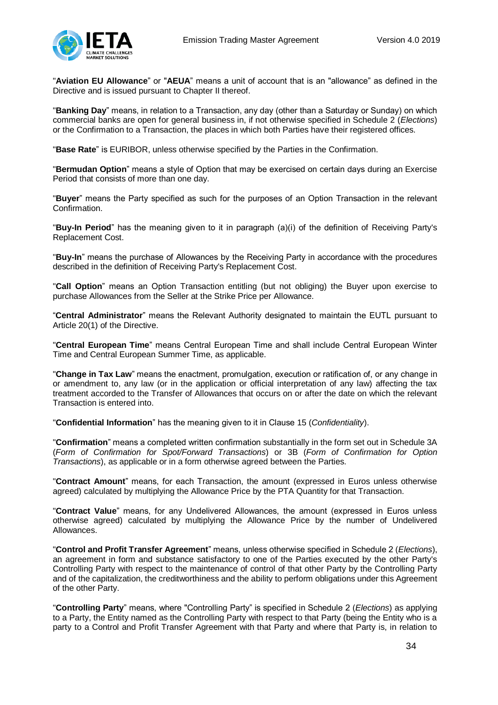

"**Aviation EU Allowance**" or "**AEUA**" means a unit of account that is an "allowance" as defined in the Directive and is issued pursuant to Chapter II thereof.

"**Banking Day**" means, in relation to a Transaction, any day (other than a Saturday or Sunday) on which commercial banks are open for general business in, if not otherwise specified in Schedule 2 (*Elections*) or the Confirmation to a Transaction, the places in which both Parties have their registered offices.

"**Base Rate**" is EURIBOR, unless otherwise specified by the Parties in the Confirmation.

"**Bermudan Option**" means a style of Option that may be exercised on certain days during an Exercise Period that consists of more than one day.

"**Buyer**" means the Party specified as such for the purposes of an Option Transaction in the relevant Confirmation.

"**Buy-In Period**" has the meaning given to it in paragraph (a)(i) of the definition of Receiving Party's Replacement Cost.

"**Buy-In**" means the purchase of Allowances by the Receiving Party in accordance with the procedures described in the definition of Receiving Party's Replacement Cost.

"**Call Option**" means an Option Transaction entitling (but not obliging) the Buyer upon exercise to purchase Allowances from the Seller at the Strike Price per Allowance.

"**Central Administrator**" means the Relevant Authority designated to maintain the EUTL pursuant to Article 20(1) of the Directive.

"**Central European Time**" means Central European Time and shall include Central European Winter Time and Central European Summer Time, as applicable.

"**Change in Tax Law**" means the enactment, promulgation, execution or ratification of, or any change in or amendment to, any law (or in the application or official interpretation of any law) affecting the tax treatment accorded to the Transfer of Allowances that occurs on or after the date on which the relevant Transaction is entered into.

"**Confidential Information**" has the meaning given to it in Clause [15](#page-30-2) (*Confidentiality*).

"**Confirmation**" means a completed written confirmation substantially in the form set out in Schedule 3A (*Form of Confirmation for Spot/Forward Transactions*) or 3B (*Form of Confirmation for Option Transactions*), as applicable or in a form otherwise agreed between the Parties.

"**Contract Amount**" means, for each Transaction, the amount (expressed in Euros unless otherwise agreed) calculated by multiplying the Allowance Price by the PTA Quantity for that Transaction.

"**Contract Value**" means, for any Undelivered Allowances, the amount (expressed in Euros unless otherwise agreed) calculated by multiplying the Allowance Price by the number of Undelivered Allowances.

"**Control and Profit Transfer Agreement**" means, unless otherwise specified in Schedule 2 (*Elections*), an agreement in form and substance satisfactory to one of the Parties executed by the other Party's Controlling Party with respect to the maintenance of control of that other Party by the Controlling Party and of the capitalization, the creditworthiness and the ability to perform obligations under this Agreement of the other Party.

"**Controlling Party**" means, where "Controlling Party" is specified in Schedule 2 (*Elections*) as applying to a Party, the Entity named as the Controlling Party with respect to that Party (being the Entity who is a party to a Control and Profit Transfer Agreement with that Party and where that Party is, in relation to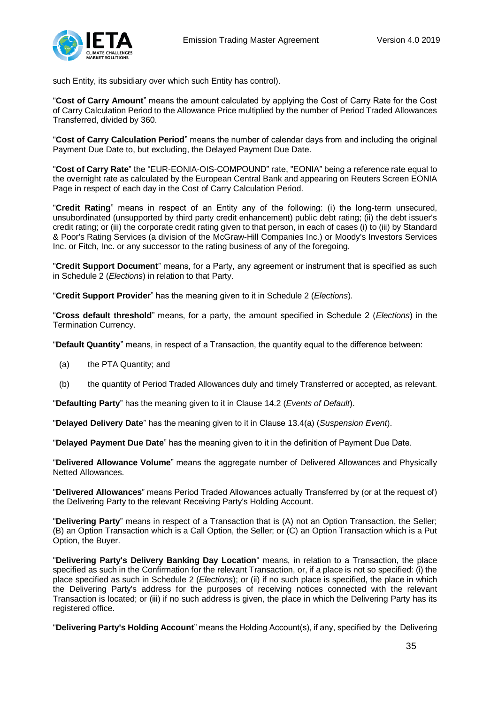

such Entity, its subsidiary over which such Entity has control).

"**Cost of Carry Amount**" means the amount calculated by applying the Cost of Carry Rate for the Cost of Carry Calculation Period to the Allowance Price multiplied by the number of Period Traded Allowances Transferred, divided by 360.

"**Cost of Carry Calculation Period**" means the number of calendar days from and including the original Payment Due Date to, but excluding, the Delayed Payment Due Date.

"**Cost of Carry Rate**" the "EUR-EONIA-OIS-COMPOUND" rate, "EONIA" being a reference rate equal to the overnight rate as calculated by the European Central Bank and appearing on Reuters Screen EONIA Page in respect of each day in the Cost of Carry Calculation Period.

"**Credit Rating**" means in respect of an Entity any of the following: (i) the long-term unsecured, unsubordinated (unsupported by third party credit enhancement) public debt rating; (ii) the debt issuer's credit rating; or (iii) the corporate credit rating given to that person, in each of cases (i) to (iii) by Standard & Poor's Rating Services (a division of the McGraw-Hill Companies Inc.) or Moody's Investors Services Inc. or Fitch, Inc. or any successor to the rating business of any of the foregoing.

"**Credit Support Document**" means, for a Party, any agreement or instrument that is specified as such in Schedule 2 (*Elections*) in relation to that Party.

"**Credit Support Provider**" has the meaning given to it in Schedule 2 (*Elections*).

"**Cross default threshold**" means, for a party, the amount specified in Schedule 2 (*Elections*) in the Termination Currency.

"**Default Quantity**" means, in respect of a Transaction, the quantity equal to the difference between:

- (a) the PTA Quantity; and
- (b) the quantity of Period Traded Allowances duly and timely Transferred or accepted, as relevant.

"**Defaulting Party**" has the meaning given to it in Clause [14.2](#page-23-8) (*Events of Default*).

"**Delayed Delivery Date**" has the meaning given to it in Clause [13.4](#page-22-4)[\(a\)](#page-22-5) (*Suspension Event*).

"**Delayed Payment Due Date**" has the meaning given to it in the definition of Payment Due Date.

"**Delivered Allowance Volume**" means the aggregate number of Delivered Allowances and Physically Netted Allowances.

"**Delivered Allowances**" means Period Traded Allowances actually Transferred by (or at the request of) the Delivering Party to the relevant Receiving Party's Holding Account.

"**Delivering Party**" means in respect of a Transaction that is (A) not an Option Transaction, the Seller; (B) an Option Transaction which is a Call Option, the Seller; or (C) an Option Transaction which is a Put Option, the Buyer.

"**Delivering Party's Delivery Banking Day Location**" means, in relation to a Transaction, the place specified as such in the Confirmation for the relevant Transaction, or, if a place is not so specified: (i) the place specified as such in Schedule 2 (*Elections*); or (ii) if no such place is specified, the place in which the Delivering Party's address for the purposes of receiving notices connected with the relevant Transaction is located; or (iii) if no such address is given, the place in which the Delivering Party has its registered office.

"**Delivering Party's Holding Account**" means the Holding Account(s), if any, specified by the Delivering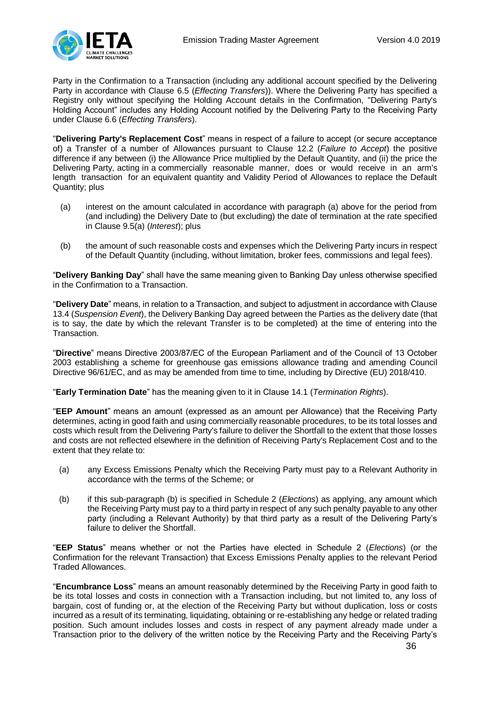

Party in the Confirmation to a Transaction (including any additional account specified by the Delivering Party in accordance with Clause [6.5](#page-11-4) (*Effecting Transfers*)). Where the Delivering Party has specified a Registry only without specifying the Holding Account details in the Confirmation, "Delivering Party's Holding Account" includes any Holding Account notified by the Delivering Party to the Receiving Party under Clause [6.6](#page-12-1) (*Effecting Transfers*).

"**Delivering Party's Replacement Cost**" means in respect of a failure to accept (or secure acceptance of) a Transfer of a number of Allowances pursuant to Clause [12.2](#page-20-2) (*Failure to Accept*) the positive difference if any between (i) the Allowance Price multiplied by the Default Quantity, and (ii) the price the Delivering Party, acting in a commercially reasonable manner, does or would receive in an arm's length transaction for an equivalent quantity and Validity Period of Allowances to replace the Default Quantity; plus

- (a) interest on the amount calculated in accordance with paragraph (a) above for the period from (and including) the Delivery Date to (but excluding) the date of termination at the rate specified in Clause [9.5\(a\)](#page-15-7) (*Interest*); plus
- (b) the amount of such reasonable costs and expenses which the Delivering Party incurs in respect of the Default Quantity (including, without limitation, broker fees, commissions and legal fees).

"**Delivery Banking Day**" shall have the same meaning given to Banking Day unless otherwise specified in the Confirmation to a Transaction.

"**Delivery Date**" means, in relation to a Transaction, and subject to adjustment in accordance with Clause [13.4](#page-22-4) (*Suspension Event*), the Delivery Banking Day agreed between the Parties as the delivery date (that is to say, the date by which the relevant Transfer is to be completed) at the time of entering into the Transaction.

"**Directive**" means Directive 2003/87/EC of the European Parliament and of the Council of 13 October 2003 establishing a scheme for greenhouse gas emissions allowance trading and amending Council Directive 96/61/EC, and as may be amended from time to time, including by Directive (EU) 2018/410.

"**Early Termination Date**" has the meaning given to it in Clause [14.1](#page-23-9) (*Termination Rights*).

"**EEP Amount**" means an amount (expressed as an amount per Allowance) that the Receiving Party determines, acting in good faith and using commercially reasonable procedures, to be its total losses and costs which result from the Delivering Party's failure to deliver the Shortfall to the extent that those losses and costs are not reflected elsewhere in the definition of Receiving Party's Replacement Cost and to the extent that they relate to:

- (a) any Excess Emissions Penalty which the Receiving Party must pay to a Relevant Authority in accordance with the terms of the Scheme; or
- (b) if this sub-paragraph (b) is specified in Schedule 2 (*Elections*) as applying, any amount which the Receiving Party must pay to a third party in respect of any such penalty payable to any other party (including a Relevant Authority) by that third party as a result of the Delivering Party's failure to deliver the Shortfall.

"**EEP Status**" means whether or not the Parties have elected in Schedule 2 (*Elections*) (or the Confirmation for the relevant Transaction) that Excess Emissions Penalty applies to the relevant Period Traded Allowances.

"**Encumbrance Loss**" means an amount reasonably determined by the Receiving Party in good faith to be its total losses and costs in connection with a Transaction including, but not limited to, any loss of bargain, cost of funding or, at the election of the Receiving Party but without duplication, loss or costs incurred as a result of its terminating, liquidating, obtaining or re-establishing any hedge or related trading position. Such amount includes losses and costs in respect of any payment already made under a Transaction prior to the delivery of the written notice by the Receiving Party and the Receiving Party's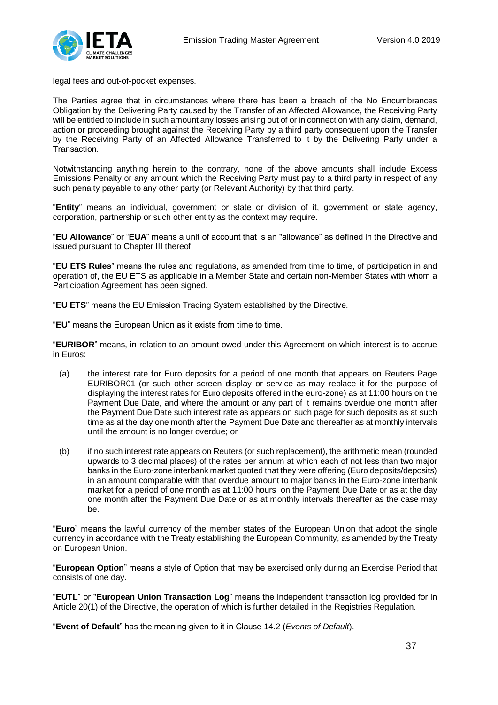

legal fees and out-of-pocket expenses.

The Parties agree that in circumstances where there has been a breach of the No Encumbrances Obligation by the Delivering Party caused by the Transfer of an Affected Allowance, the Receiving Party will be entitled to include in such amount any losses arising out of or in connection with any claim, demand, action or proceeding brought against the Receiving Party by a third party consequent upon the Transfer by the Receiving Party of an Affected Allowance Transferred to it by the Delivering Party under a Transaction.

Notwithstanding anything herein to the contrary, none of the above amounts shall include Excess Emissions Penalty or any amount which the Receiving Party must pay to a third party in respect of any such penalty payable to any other party (or Relevant Authority) by that third party.

"**Entity**" means an individual, government or state or division of it, government or state agency, corporation, partnership or such other entity as the context may require.

"**EU Allowance**" or "**EUA**" means a unit of account that is an "allowance" as defined in the Directive and issued pursuant to Chapter III thereof.

"**EU ETS Rules**" means the rules and regulations, as amended from time to time, of participation in and operation of, the EU ETS as applicable in a Member State and certain non-Member States with whom a Participation Agreement has been signed.

"**EU ETS**" means the EU Emission Trading System established by the Directive.

"**EU**" means the European Union as it exists from time to time.

"**EURIBOR**" means, in relation to an amount owed under this Agreement on which interest is to accrue in Euros:

- (a) the interest rate for Euro deposits for a period of one month that appears on Reuters Page EURIBOR01 (or such other screen display or service as may replace it for the purpose of displaying the interest rates for Euro deposits offered in the euro-zone) as at 11:00 hours on the Payment Due Date, and where the amount or any part of it remains overdue one month after the Payment Due Date such interest rate as appears on such page for such deposits as at such time as at the day one month after the Payment Due Date and thereafter as at monthly intervals until the amount is no longer overdue; or
- (b) if no such interest rate appears on Reuters (or such replacement), the arithmetic mean (rounded upwards to 3 decimal places) of the rates per annum at which each of not less than two major banks in the Euro-zone interbank market quoted that they were offering (Euro deposits/deposits) in an amount comparable with that overdue amount to major banks in the Euro-zone interbank market for a period of one month as at 11:00 hours on the Payment Due Date or as at the day one month after the Payment Due Date or as at monthly intervals thereafter as the case may be.

"**Euro**" means the lawful currency of the member states of the European Union that adopt the single currency in accordance with the Treaty establishing the European Community, as amended by the Treaty on European Union.

"**European Option**" means a style of Option that may be exercised only during an Exercise Period that consists of one day.

"**EUTL**" or "**European Union Transaction Log**" means the independent transaction log provided for in Article 20(1) of the Directive, the operation of which is further detailed in the Registries Regulation.

"**Event of Default**" has the meaning given to it in Clause [14.2](#page-23-8) (*Events of Default*).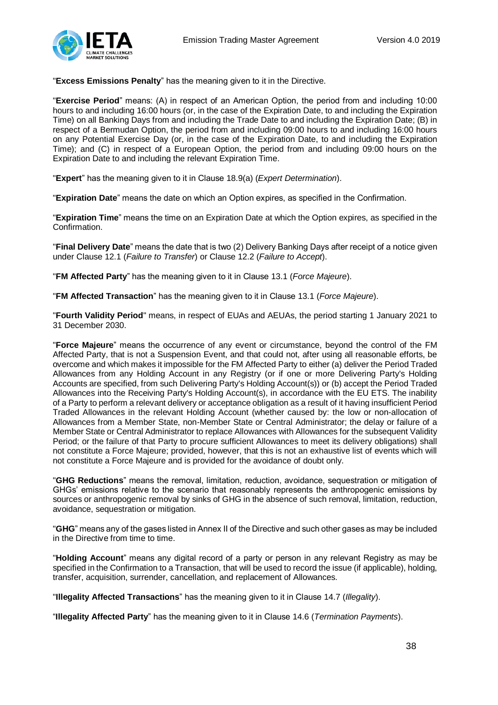

"**Excess Emissions Penalty**" has the meaning given to it in the Directive.

"**Exercise Period**" means: (A) in respect of an American Option, the period from and including 10:00 hours to and including 16:00 hours (or, in the case of the Expiration Date, to and including the Expiration Time) on all Banking Days from and including the Trade Date to and including the Expiration Date; (B) in respect of a Bermudan Option, the period from and including 09:00 hours to and including 16:00 hours on any Potential Exercise Day (or, in the case of the Expiration Date, to and including the Expiration Time); and (C) in respect of a European Option, the period from and including 09:00 hours on the Expiration Date to and including the relevant Expiration Time.

"**Expert**" has the meaning given to it in Clause [18.9\(a\)](#page-34-1) (*Expert Determination*).

"**Expiration Date**" means the date on which an Option expires, as specified in the Confirmation.

"**Expiration Time**" means the time on an Expiration Date at which the Option expires, as specified in the Confirmation.

"**Final Delivery Date**" means the date that is two (2) Delivery Banking Days after receipt of a notice given under Clause [12.1](#page-18-2) (*Failure to Transfer*) or Clause [12.2](#page-20-2) (*Failure to Accept*).

"**FM Affected Party**" has the meaning given to it in Clause [13.1](#page-21-5) (*Force Majeure*).

"**FM Affected Transaction**" has the meaning given to it in Clause [13.1](#page-21-5) (*Force Majeure*).

"**Fourth Validity Period**" means, in respect of EUAs and AEUAs, the period starting 1 January 2021 to 31 December 2030.

"**Force Majeure**" means the occurrence of any event or circumstance, beyond the control of the FM Affected Party, that is not a Suspension Event, and that could not, after using all reasonable efforts, be overcome and which makes it impossible for the FM Affected Party to either (a) deliver the Period Traded Allowances from any Holding Account in any Registry (or if one or more Delivering Party's Holding Accounts are specified, from such Delivering Party's Holding Account(s)) or (b) accept the Period Traded Allowances into the Receiving Party's Holding Account(s), in accordance with the EU ETS. The inability of a Party to perform a relevant delivery or acceptance obligation as a result of it having insufficient Period Traded Allowances in the relevant Holding Account (whether caused by: the low or non-allocation of Allowances from a Member State, non-Member State or Central Administrator; the delay or failure of a Member State or Central Administrator to replace Allowances with Allowances for the subsequent Validity Period; or the failure of that Party to procure sufficient Allowances to meet its delivery obligations) shall not constitute a Force Majeure; provided, however, that this is not an exhaustive list of events which will not constitute a Force Majeure and is provided for the avoidance of doubt only.

"**GHG Reductions**" means the removal, limitation, reduction, avoidance, sequestration or mitigation of GHGs' emissions relative to the scenario that reasonably represents the anthropogenic emissions by sources or anthropogenic removal by sinks of GHG in the absence of such removal, limitation, reduction, avoidance, sequestration or mitigation.

"**GHG**" means any of the gases listed in Annex II of the Directive and such other gases as may be included in the Directive from time to time.

"**Holding Account**" means any digital record of a party or person in any relevant Registry as may be specified in the Confirmation to a Transaction, that will be used to record the issue (if applicable), holding, transfer, acquisition, surrender, cancellation, and replacement of Allowances.

"**Illegality Affected Transactions**" has the meaning given to it in Clause [14.7](#page-29-1) (*Illegality*).

"**Illegality Affected Party**" has the meaning given to it in Clause [14.6](#page-28-2) (*Termination Payments*).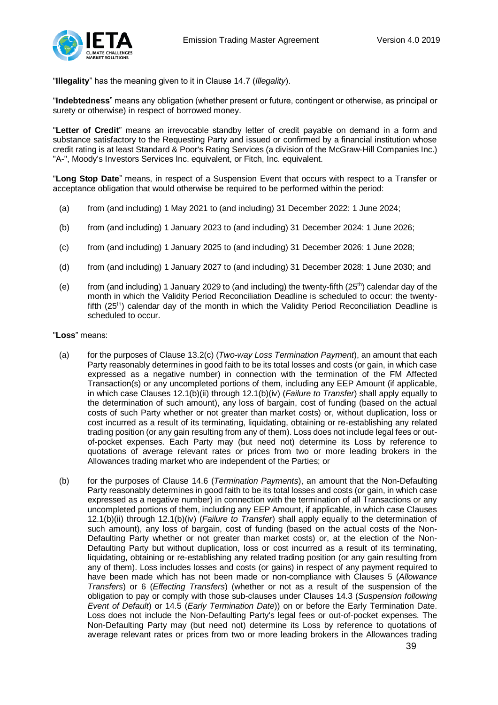

"**Illegality**" has the meaning given to it in Clause [14.7](#page-29-1) (*Illegality*).

"**Indebtedness**" means any obligation (whether present or future, contingent or otherwise, as principal or surety or otherwise) in respect of borrowed money.

"**Letter of Credit**" means an irrevocable standby letter of credit payable on demand in a form and substance satisfactory to the Requesting Party and issued or confirmed by a financial institution whose credit rating is at least Standard & Poor's Rating Services (a division of the McGraw-Hill Companies Inc.) "A-", Moody's Investors Services Inc. equivalent, or Fitch, Inc. equivalent.

"**Long Stop Date**" means, in respect of a Suspension Event that occurs with respect to a Transfer or acceptance obligation that would otherwise be required to be performed within the period:

- (a) from (and including) 1 May 2021 to (and including) 31 December 2022: 1 June 2024;
- (b) from (and including) 1 January 2023 to (and including) 31 December 2024: 1 June 2026;
- (c) from (and including) 1 January 2025 to (and including) 31 December 2026: 1 June 2028;
- (d) from (and including) 1 January 2027 to (and including) 31 December 2028: 1 June 2030; and
- (e) from (and including) 1 January 2029 to (and including) the twenty-fifth ( $25<sup>th</sup>$ ) calendar day of the month in which the Validity Period Reconciliation Deadline is scheduled to occur: the twentyfifth  $(25<sup>th</sup>)$  calendar day of the month in which the Validity Period Reconciliation Deadline is scheduled to occur.

"**Loss**" means:

- (a) for the purposes of Clause [13.2\(c\)](#page-22-6) (*Two-way Loss Termination Payment*), an amount that each Party reasonably determines in good faith to be its total losses and costs (or gain, in which case expressed as a negative number) in connection with the termination of the FM Affected Transaction(s) or any uncompleted portions of them, including any EEP Amount (if applicable, in which case Clauses [12.1\(b\)\(ii\)](#page-19-1) through [12.1\(b\)\(iv\)](#page-19-2) (*Failure to Transfer*) shall apply equally to the determination of such amount), any loss of bargain, cost of funding (based on the actual costs of such Party whether or not greater than market costs) or, without duplication, loss or cost incurred as a result of its terminating, liquidating, obtaining or re-establishing any related trading position (or any gain resulting from any of them). Loss does not include legal fees or outof-pocket expenses. Each Party may (but need not) determine its Loss by reference to quotations of average relevant rates or prices from two or more leading brokers in the Allowances trading market who are independent of the Parties; or
- (b) for the purposes of Clause [14.6](#page-28-2) (*Termination Payments*), an amount that the Non-Defaulting Party reasonably determines in good faith to be its total losses and costs (or gain, in which case expressed as a negative number) in connection with the termination of all Transactions or any uncompleted portions of them, including any EEP Amount, if applicable, in which case Clauses [12.1\(b\)\(ii\)](#page-19-1) through [12.1\(b\)\(iv\)](#page-19-2) (*Failure to Transfer*) shall apply equally to the determination of such amount), any loss of bargain, cost of funding (based on the actual costs of the Non-Defaulting Party whether or not greater than market costs) or, at the election of the Non-Defaulting Party but without duplication, loss or cost incurred as a result of its terminating, liquidating, obtaining or re-establishing any related trading position (or any gain resulting from any of them). Loss includes losses and costs (or gains) in respect of any payment required to have been made which has not been made or non-compliance with Clauses [5](#page-9-2) (*Allowance Transfers*) or [6](#page-11-5) (*Effecting Transfers*) (whether or not as a result of the suspension of the obligation to pay or comply with those sub-clauses under Clauses [14.3](#page-27-1) (*Suspension following Event of Default*) or [14.5](#page-28-3) (*Early Termination Date*)) on or before the Early Termination Date. Loss does not include the Non-Defaulting Party's legal fees or out-of-pocket expenses. The Non-Defaulting Party may (but need not) determine its Loss by reference to quotations of average relevant rates or prices from two or more leading brokers in the Allowances trading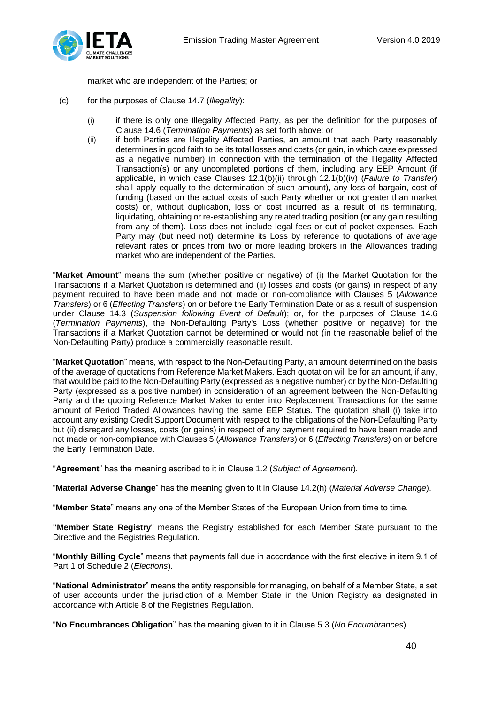market who are independent of the Parties; or

- (c) for the purposes of Clause [14.7](#page-29-1) (*Illegality*):
	- (i) if there is only one Illegality Affected Party, as per the definition for the purposes of Clause [14.6](#page-28-2) (*Termination Payments*) as set forth above; or
	- (ii) if both Parties are Illegality Affected Parties, an amount that each Party reasonably determines in good faith to be its total losses and costs (or gain, in which case expressed as a negative number) in connection with the termination of the Illegality Affected Transaction(s) or any uncompleted portions of them, including any EEP Amount (if applicable, in which case Clauses [12.1\(b\)\(ii\)](#page-19-1) through [12.1\(b\)\(iv\)](#page-19-2) (*Failure to Transfer*) shall apply equally to the determination of such amount), any loss of bargain, cost of funding (based on the actual costs of such Party whether or not greater than market costs) or, without duplication, loss or cost incurred as a result of its terminating, liquidating, obtaining or re-establishing any related trading position (or any gain resulting from any of them). Loss does not include legal fees or out-of-pocket expenses. Each Party may (but need not) determine its Loss by reference to quotations of average relevant rates or prices from two or more leading brokers in the Allowances trading market who are independent of the Parties.

"**Market Amount**" means the sum (whether positive or negative) of (i) the Market Quotation for the Transactions if a Market Quotation is determined and (ii) losses and costs (or gains) in respect of any payment required to have been made and not made or non-compliance with Clauses [5](#page-9-2) (*Allowance Transfers*) o[r 6](#page-11-5) (*Effecting Transfers*) on or before the Early Termination Date or as a result of suspension under Clause [14.3](#page-27-1) (*Suspension following Event of Default*); or, for the purposes of Clause [14.6](#page-28-2) (*Termination Payments*), the Non-Defaulting Party's Loss (whether positive or negative) for the Transactions if a Market Quotation cannot be determined or would not (in the reasonable belief of the Non-Defaulting Party) produce a commercially reasonable result.

"**Market Quotation**" means, with respect to the Non-Defaulting Party, an amount determined on the basis of the average of quotations from Reference Market Makers. Each quotation will be for an amount, if any, that would be paid to the Non-Defaulting Party (expressed as a negative number) or by the Non-Defaulting Party (expressed as a positive number) in consideration of an agreement between the Non-Defaulting Party and the quoting Reference Market Maker to enter into Replacement Transactions for the same amount of Period Traded Allowances having the same EEP Status. The quotation shall (i) take into account any existing Credit Support Document with respect to the obligations of the Non-Defaulting Party but (ii) disregard any losses, costs (or gains) in respect of any payment required to have been made and not made or non-compliance with Clauses [5](#page-9-2) (*Allowance Transfers*) o[r 6](#page-11-5) (*Effecting Transfers*) on or before the Early Termination Date.

"**Agreement**" has the meaning ascribed to it in Clause [1.2](#page-4-2) (*Subject of Agreement*).

"**Material Adverse Change**" has the meaning given to it in Clause [14.2\(h\)](#page-25-0) (*Material Adverse Change*).

"**Member State**" means any one of the Member States of the European Union from time to time.

**"Member State Registry**" means the Registry established for each Member State pursuant to the Directive and the Registries Regulation.

"**Monthly Billing Cycle**" means that payments fall due in accordance with the first elective in item 9.1 of Part 1 of Schedule 2 (*Elections*).

"**National Administrator**" means the entity responsible for managing, on behalf of a Member State, a set of user accounts under the jurisdiction of a Member State in the Union Registry as designated in accordance with Article 8 of the Registries Regulation.

"**No Encumbrances Obligation**" has the meaning given to it in Clause [5.3](#page-10-3) (*No Encumbrances*).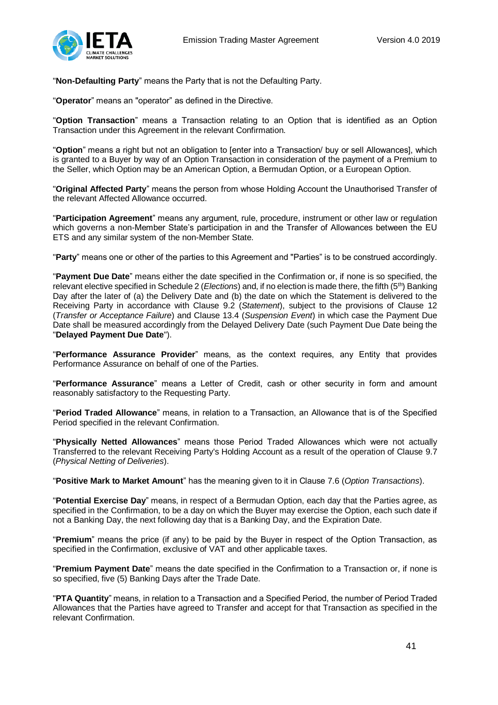

"**Non-Defaulting Party**" means the Party that is not the Defaulting Party.

"**Operator**" means an "operator" as defined in the Directive.

"**Option Transaction**" means a Transaction relating to an Option that is identified as an Option Transaction under this Agreement in the relevant Confirmation.

"**Option**" means a right but not an obligation to [enter into a Transaction/ buy or sell Allowances], which is granted to a Buyer by way of an Option Transaction in consideration of the payment of a Premium to the Seller, which Option may be an American Option, a Bermudan Option, or a European Option.

"**Original Affected Party**" means the person from whose Holding Account the Unauthorised Transfer of the relevant Affected Allowance occurred.

"**Participation Agreement**" means any argument, rule, procedure, instrument or other law or regulation which governs a non-Member State's participation in and the Transfer of Allowances between the EU ETS and any similar system of the non-Member State.

"**Party**" means one or other of the parties to this Agreement and "Parties" is to be construed accordingly.

"**Payment Due Date**" means either the date specified in the Confirmation or, if none is so specified, the relevant elective specified in Schedule 2 (*Elections*) and, if no election is made there, the fifth (5th) Banking Day after the later of (a) the Delivery Date and (b) the date on which the Statement is delivered to the Receiving Party in accordance with Clause [9.2](#page-13-4) (*Statement*), subject to the provisions of Clause [12](#page-18-3) (*Transfer or Acceptance Failure*) and Clause [13.4](#page-22-4) (*Suspension Event*) in which case the Payment Due Date shall be measured accordingly from the Delayed Delivery Date (such Payment Due Date being the "**Delayed Payment Due Date**").

"**Performance Assurance Provider**" means, as the context requires, any Entity that provides Performance Assurance on behalf of one of the Parties.

"**Performance Assurance**" means a Letter of Credit, cash or other security in form and amount reasonably satisfactory to the Requesting Party.

"**Period Traded Allowance**" means, in relation to a Transaction, an Allowance that is of the Specified Period specified in the relevant Confirmation.

"**Physically Netted Allowances**" means those Period Traded Allowances which were not actually Transferred to the relevant Receiving Party's Holding Account as a result of the operation of Clause [9.7](#page-16-2) (*Physical Netting of Deliveries*).

"**Positive Mark to Market Amount**" has the meaning given to it in Clause [7.6](#page-13-5) (*Option Transactions*).

"**Potential Exercise Day**" means, in respect of a Bermudan Option, each day that the Parties agree, as specified in the Confirmation, to be a day on which the Buyer may exercise the Option, each such date if not a Banking Day, the next following day that is a Banking Day, and the Expiration Date.

"**Premium**" means the price (if any) to be paid by the Buyer in respect of the Option Transaction, as specified in the Confirmation, exclusive of VAT and other applicable taxes.

"**Premium Payment Date**" means the date specified in the Confirmation to a Transaction or, if none is so specified, five (5) Banking Days after the Trade Date.

"**PTA Quantity**" means, in relation to a Transaction and a Specified Period, the number of Period Traded Allowances that the Parties have agreed to Transfer and accept for that Transaction as specified in the relevant Confirmation.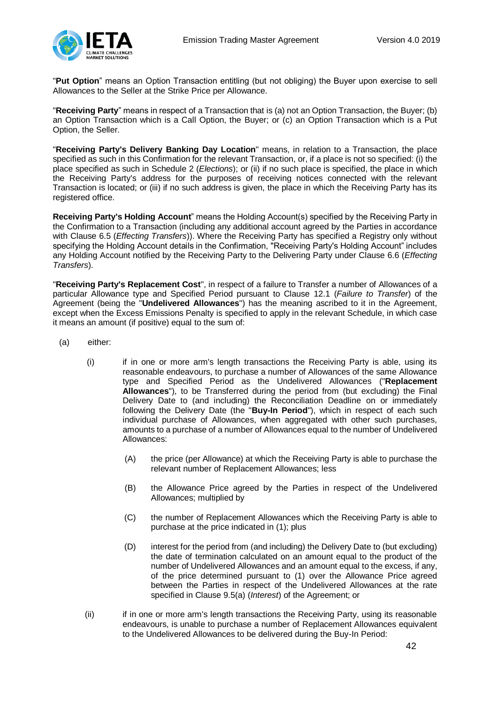

"**Put Option**" means an Option Transaction entitling (but not obliging) the Buyer upon exercise to sell Allowances to the Seller at the Strike Price per Allowance.

"**Receiving Party**" means in respect of a Transaction that is (a) not an Option Transaction, the Buyer; (b) an Option Transaction which is a Call Option, the Buyer; or (c) an Option Transaction which is a Put Option, the Seller.

"**Receiving Party's Delivery Banking Day Location**" means, in relation to a Transaction, the place specified as such in this Confirmation for the relevant Transaction, or, if a place is not so specified: (i) the place specified as such in Schedule 2 (*Elections*); or (ii) if no such place is specified, the place in which the Receiving Party's address for the purposes of receiving notices connected with the relevant Transaction is located; or (iii) if no such address is given, the place in which the Receiving Party has its registered office.

**Receiving Party's Holding Account**" means the Holding Account(s) specified by the Receiving Party in the Confirmation to a Transaction (including any additional account agreed by the Parties in accordance with Clause [6.5](#page-11-4) (*Effecting Transfers*)). Where the Receiving Party has specified a Registry only without specifying the Holding Account details in the Confirmation, "Receiving Party's Holding Account" includes any Holding Account notified by the Receiving Party to the Delivering Party under Clause [6.6](#page-12-1) (*Effecting Transfers*).

"**Receiving Party's Replacement Cost**", in respect of a failure to Transfer a number of Allowances of a particular Allowance type and Specified Period pursuant to Clause [12.1](#page-18-2) (*Failure to Transfer*) of the Agreement (being the "**Undelivered Allowances**") has the meaning ascribed to it in the Agreement, except when the Excess Emissions Penalty is specified to apply in the relevant Schedule, in which case it means an amount (if positive) equal to the sum of:

- (a) either:
	- (i) if in one or more arm's length transactions the Receiving Party is able, using its reasonable endeavours, to purchase a number of Allowances of the same Allowance type and Specified Period as the Undelivered Allowances ("**Replacement Allowances**"), to be Transferred during the period from (but excluding) the Final Delivery Date to (and including) the Reconciliation Deadline on or immediately following the Delivery Date (the "**Buy-In Period**"), which in respect of each such individual purchase of Allowances, when aggregated with other such purchases, amounts to a purchase of a number of Allowances equal to the number of Undelivered Allowances:
		- (A) the price (per Allowance) at which the Receiving Party is able to purchase the relevant number of Replacement Allowances; less
		- (B) the Allowance Price agreed by the Parties in respect of the Undelivered Allowances; multiplied by
		- (C) the number of Replacement Allowances which the Receiving Party is able to purchase at the price indicated in (1); plus
		- (D) interest for the period from (and including) the Delivery Date to (but excluding) the date of termination calculated on an amount equal to the product of the number of Undelivered Allowances and an amount equal to the excess, if any, of the price determined pursuant to (1) over the Allowance Price agreed between the Parties in respect of the Undelivered Allowances at the rate specified in Clause [9.5\(a\)](#page-15-7) (*Interest*) of the Agreement; or
	- (ii) if in one or more arm's length transactions the Receiving Party, using its reasonable endeavours, is unable to purchase a number of Replacement Allowances equivalent to the Undelivered Allowances to be delivered during the Buy-In Period: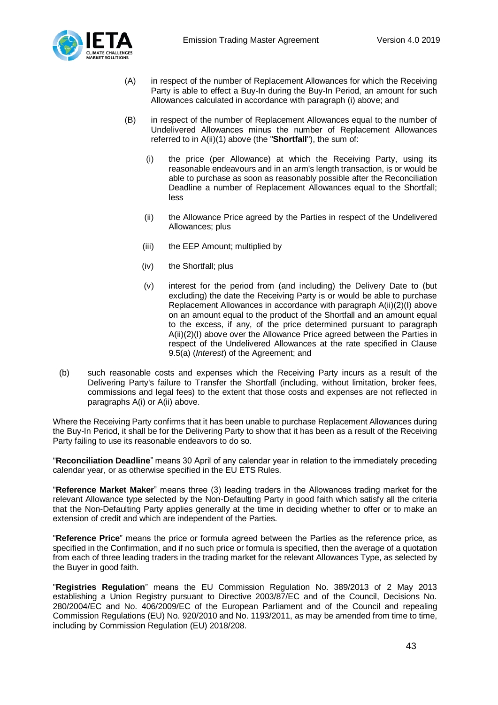

- (A) in respect of the number of Replacement Allowances for which the Receiving Party is able to effect a Buy-In during the Buy-In Period, an amount for such Allowances calculated in accordance with paragraph (i) above; and
- (B) in respect of the number of Replacement Allowances equal to the number of Undelivered Allowances minus the number of Replacement Allowances referred to in A(ii)(1) above (the "**Shortfall**"), the sum of:
	- (i) the price (per Allowance) at which the Receiving Party, using its reasonable endeavours and in an arm's length transaction, is or would be able to purchase as soon as reasonably possible after the Reconciliation Deadline a number of Replacement Allowances equal to the Shortfall; less
	- (ii) the Allowance Price agreed by the Parties in respect of the Undelivered Allowances; plus
	- (iii) the EEP Amount; multiplied by
	- (iv) the Shortfall; plus
	- (v) interest for the period from (and including) the Delivery Date to (but excluding) the date the Receiving Party is or would be able to purchase Replacement Allowances in accordance with paragraph A(ii)(2)(I) above on an amount equal to the product of the Shortfall and an amount equal to the excess, if any, of the price determined pursuant to paragraph A(ii)(2)(I) above over the Allowance Price agreed between the Parties in respect of the Undelivered Allowances at the rate specified in Clause [9.5\(a\)](#page-15-7) (*Interest*) of the Agreement; and
- (b) such reasonable costs and expenses which the Receiving Party incurs as a result of the Delivering Party's failure to Transfer the Shortfall (including, without limitation, broker fees, commissions and legal fees) to the extent that those costs and expenses are not reflected in paragraphs A(i) or A(ii) above.

Where the Receiving Party confirms that it has been unable to purchase Replacement Allowances during the Buy-In Period, it shall be for the Delivering Party to show that it has been as a result of the Receiving Party failing to use its reasonable endeavors to do so.

"**Reconciliation Deadline**" means 30 April of any calendar year in relation to the immediately preceding calendar year, or as otherwise specified in the EU ETS Rules.

"**Reference Market Maker**" means three (3) leading traders in the Allowances trading market for the relevant Allowance type selected by the Non-Defaulting Party in good faith which satisfy all the criteria that the Non-Defaulting Party applies generally at the time in deciding whether to offer or to make an extension of credit and which are independent of the Parties.

"**Reference Price**" means the price or formula agreed between the Parties as the reference price, as specified in the Confirmation, and if no such price or formula is specified, then the average of a quotation from each of three leading traders in the trading market for the relevant Allowances Type, as selected by the Buyer in good faith.

"**Registries Regulation**" means the EU Commission Regulation No. 389/2013 of 2 May 2013 establishing a Union Registry pursuant to Directive 2003/87/EC and of the Council, Decisions No. 280/2004/EC and No. 406/2009/EC of the European Parliament and of the Council and repealing Commission Regulations (EU) No. 920/2010 and No. 1193/2011, as may be amended from time to time, including by Commission Regulation (EU) 2018/208.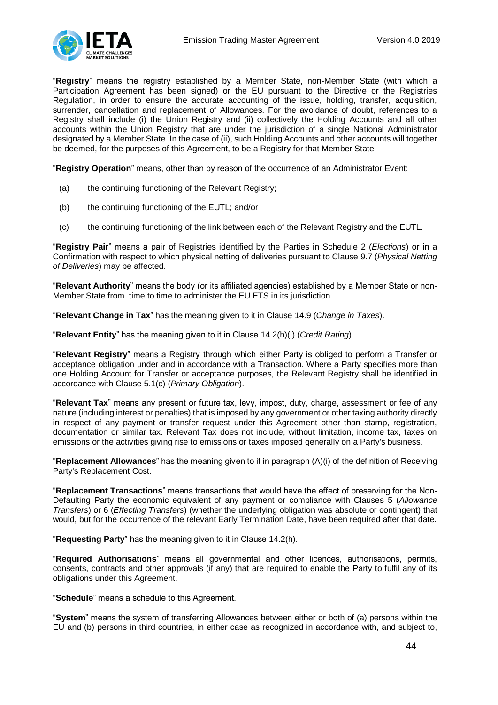"**Registry**" means the registry established by a Member State, non-Member State (with which a Participation Agreement has been signed) or the EU pursuant to the Directive or the Registries Regulation, in order to ensure the accurate accounting of the issue, holding, transfer, acquisition, surrender, cancellation and replacement of Allowances. For the avoidance of doubt, references to a Registry shall include (i) the Union Registry and (ii) collectively the Holding Accounts and all other accounts within the Union Registry that are under the jurisdiction of a single National Administrator designated by a Member State. In the case of (ii), such Holding Accounts and other accounts will together be deemed, for the purposes of this Agreement, to be a Registry for that Member State.

"**Registry Operation**" means, other than by reason of the occurrence of an Administrator Event:

- (a) the continuing functioning of the Relevant Registry;
- (b) the continuing functioning of the EUTL; and/or
- (c) the continuing functioning of the link between each of the Relevant Registry and the EUTL.

"**Registry Pair**" means a pair of Registries identified by the Parties in Schedule 2 (*Elections*) or in a Confirmation with respect to which physical netting of deliveries pursuant to Clause [9.7](#page-16-2) (*Physical Netting of Deliveries*) may be affected.

"**Relevant Authority**" means the body (or its affiliated agencies) established by a Member State or non-Member State from time to time to administer the EU ETS in its jurisdiction.

"**Relevant Change in Tax**" has the meaning given to it in Clause [14.9](#page-30-1) (*Change in Taxes*).

"**Relevant Entity**" has the meaning given to it in Clause [14.2\(h\)\(i\)](#page-26-0) (*Credit Rating*).

"**Relevant Registry**" means a Registry through which either Party is obliged to perform a Transfer or acceptance obligation under and in accordance with a Transaction. Where a Party specifies more than one Holding Account for Transfer or acceptance purposes, the Relevant Registry shall be identified in accordance with Clause [5.1\(c\)](#page-9-3) (*Primary Obligation*).

"**Relevant Tax**" means any present or future tax, levy, impost, duty, charge, assessment or fee of any nature (including interest or penalties) that is imposed by any government or other taxing authority directly in respect of any payment or transfer request under this Agreement other than stamp, registration, documentation or similar tax. Relevant Tax does not include, without limitation, income tax, taxes on emissions or the activities giving rise to emissions or taxes imposed generally on a Party's business.

"**Replacement Allowances**" has the meaning given to it in paragraph (A)(i) of the definition of Receiving Party's Replacement Cost.

"**Replacement Transactions**" means transactions that would have the effect of preserving for the Non-Defaulting Party the economic equivalent of any payment or compliance with Clauses [5](#page-9-2) (*Allowance Transfers*) or [6](#page-11-5) (*Effecting Transfers*) (whether the underlying obligation was absolute or contingent) that would, but for the occurrence of the relevant Early Termination Date, have been required after that date.

"**Requesting Party**" has the meaning given to it in Clause [14.2\(h\).](#page-25-0)

"**Required Authorisations**" means all governmental and other licences, authorisations, permits, consents, contracts and other approvals (if any) that are required to enable the Party to fulfil any of its obligations under this Agreement.

"**Schedule**" means a schedule to this Agreement.

"**System**" means the system of transferring Allowances between either or both of (a) persons within the EU and (b) persons in third countries, in either case as recognized in accordance with, and subject to,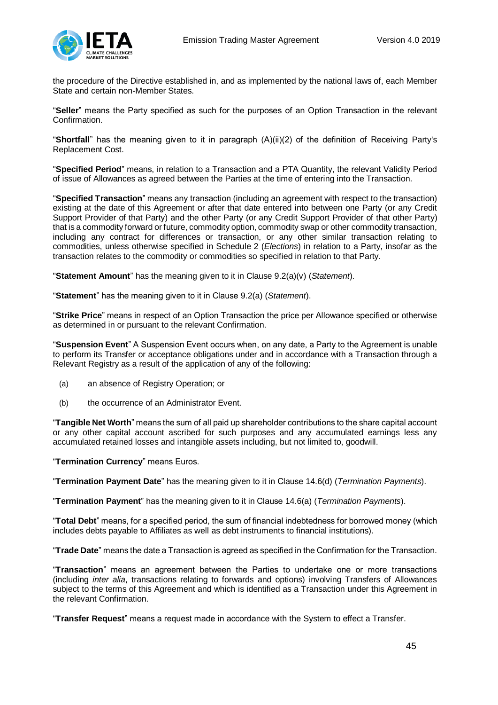

the procedure of the Directive established in, and as implemented by the national laws of, each Member State and certain non-Member States.

"**Seller**" means the Party specified as such for the purposes of an Option Transaction in the relevant Confirmation.

"**Shortfall**" has the meaning given to it in paragraph (A)(ii)(2) of the definition of Receiving Party's Replacement Cost.

"**Specified Period**" means, in relation to a Transaction and a PTA Quantity, the relevant Validity Period of issue of Allowances as agreed between the Parties at the time of entering into the Transaction.

"**Specified Transaction**" means any transaction (including an agreement with respect to the transaction) existing at the date of this Agreement or after that date entered into between one Party (or any Credit Support Provider of that Party) and the other Party (or any Credit Support Provider of that other Party) that is a commodity forward or future, commodity option, commodity swap or other commodity transaction, including any contract for differences or transaction, or any other similar transaction relating to commodities, unless otherwise specified in Schedule 2 (*Elections*) in relation to a Party, insofar as the transaction relates to the commodity or commodities so specified in relation to that Party.

"**Statement Amount**" has the meaning given to it in Clause [9.2\(a\)\(v\)](#page-14-5) (*Statement*).

"**Statement**" has the meaning given to it in Clause [9.2\(a\)](#page-13-6) (*Statement*).

"**Strike Price**" means in respect of an Option Transaction the price per Allowance specified or otherwise as determined in or pursuant to the relevant Confirmation.

"**Suspension Event**" A Suspension Event occurs when, on any date, a Party to the Agreement is unable to perform its Transfer or acceptance obligations under and in accordance with a Transaction through a Relevant Registry as a result of the application of any of the following:

- (a) an absence of Registry Operation; or
- (b) the occurrence of an Administrator Event.

"**Tangible Net Worth**" means the sum of all paid up shareholder contributions to the share capital account or any other capital account ascribed for such purposes and any accumulated earnings less any accumulated retained losses and intangible assets including, but not limited to, goodwill.

"**Termination Currency**" means Euros.

"**Termination Payment Date**" has the meaning given to it in Clause [14.6\(d\)](#page-28-4) (*Termination Payments*).

"**Termination Payment**" has the meaning given to it in Clause [14.6\(a\)](#page-28-5) (*Termination Payments*).

"**Total Debt**" means, for a specified period, the sum of financial indebtedness for borrowed money (which includes debts payable to Affiliates as well as debt instruments to financial institutions).

"**Trade Date**" means the date a Transaction is agreed as specified in the Confirmation for the Transaction.

"**Transaction**" means an agreement between the Parties to undertake one or more transactions (including *inter alia*, transactions relating to forwards and options) involving Transfers of Allowances subject to the terms of this Agreement and which is identified as a Transaction under this Agreement in the relevant Confirmation.

"**Transfer Request**" means a request made in accordance with the System to effect a Transfer.